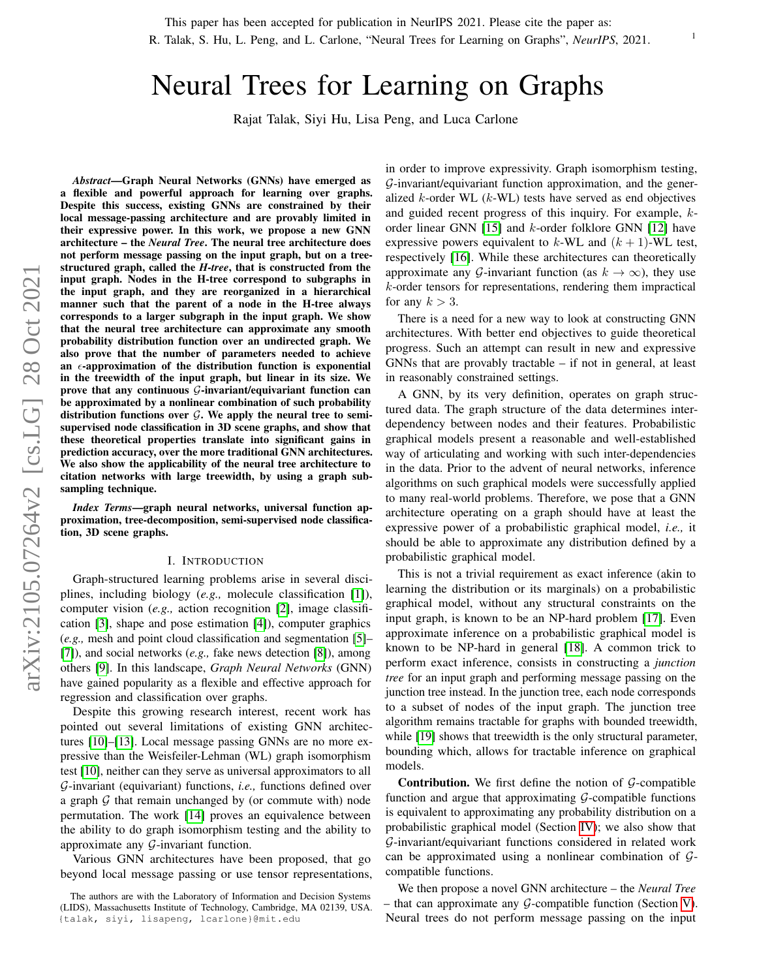R. Talak, S. Hu, L. Peng, and L. Carlone, "Neural Trees for Learning on Graphs", *NeurIPS*, 2021.

# Neural Trees for Learning on Graphs

Rajat Talak, Siyi Hu, Lisa Peng, and Luca Carlone

*Abstract*—Graph Neural Networks (GNNs) have emerged as a flexible and powerful approach for learning over graphs. Despite this success, existing GNNs are constrained by their local message-passing architecture and are provably limited in their expressive power. In this work, we propose a new GNN architecture – the *Neural Tree*. The neural tree architecture does not perform message passing on the input graph, but on a treestructured graph, called the *H-tree*, that is constructed from the input graph. Nodes in the H-tree correspond to subgraphs in the input graph, and they are reorganized in a hierarchical manner such that the parent of a node in the H-tree always corresponds to a larger subgraph in the input graph. We show that the neural tree architecture can approximate any smooth probability distribution function over an undirected graph. We also prove that the number of parameters needed to achieve an  $\epsilon$ -approximation of the distribution function is exponential in the treewidth of the input graph, but linear in its size. We prove that any continuous  $G$ -invariant/equivariant function can be approximated by a nonlinear combination of such probability distribution functions over  $G$ . We apply the neural tree to semisupervised node classification in 3D scene graphs, and show that these theoretical properties translate into significant gains in prediction accuracy, over the more traditional GNN architectures. We also show the applicability of the neural tree architecture to citation networks with large treewidth, by using a graph subsampling technique.

*Index Terms*—graph neural networks, universal function approximation, tree-decomposition, semi-supervised node classification, 3D scene graphs.

#### I. INTRODUCTION

Graph-structured learning problems arise in several disciplines, including biology (*e.g.,* molecule classification [\[1\]](#page-8-0)), computer vision (*e.g.,* action recognition [\[2\]](#page-8-1), image classification [\[3\]](#page-8-2), shape and pose estimation [\[4\]](#page-8-3)), computer graphics (*e.g.,* mesh and point cloud classification and segmentation [\[5\]](#page-8-4)– [\[7\]](#page-8-5)), and social networks (*e.g.,* fake news detection [\[8\]](#page-8-6)), among others [\[9\]](#page-8-7). In this landscape, *Graph Neural Networks* (GNN) have gained popularity as a flexible and effective approach for regression and classification over graphs.

Despite this growing research interest, recent work has pointed out several limitations of existing GNN architectures [\[10\]](#page-8-8)–[\[13\]](#page-8-9). Local message passing GNNs are no more expressive than the Weisfeiler-Lehman (WL) graph isomorphism test [\[10\]](#page-8-8), neither can they serve as universal approximators to all G-invariant (equivariant) functions, *i.e.,* functions defined over a graph  $G$  that remain unchanged by (or commute with) node permutation. The work [\[14\]](#page-8-10) proves an equivalence between the ability to do graph isomorphism testing and the ability to approximate any G-invariant function.

Various GNN architectures have been proposed, that go beyond local message passing or use tensor representations,

in order to improve expressivity. Graph isomorphism testing, G-invariant/equivariant function approximation, and the generalized  $k$ -order WL  $(k$ -WL) tests have served as end objectives and guided recent progress of this inquiry. For example, korder linear GNN [\[15\]](#page-8-11) and k-order folklore GNN [\[12\]](#page-8-12) have expressive powers equivalent to  $k$ -WL and  $(k + 1)$ -WL test, respectively [\[16\]](#page-8-13). While these architectures can theoretically approximate any G-invariant function (as  $k \to \infty$ ), they use k-order tensors for representations, rendering them impractical for any  $k > 3$ .

There is a need for a new way to look at constructing GNN architectures. With better end objectives to guide theoretical progress. Such an attempt can result in new and expressive GNNs that are provably tractable – if not in general, at least in reasonably constrained settings.

A GNN, by its very definition, operates on graph structured data. The graph structure of the data determines interdependency between nodes and their features. Probabilistic graphical models present a reasonable and well-established way of articulating and working with such inter-dependencies in the data. Prior to the advent of neural networks, inference algorithms on such graphical models were successfully applied to many real-world problems. Therefore, we pose that a GNN architecture operating on a graph should have at least the expressive power of a probabilistic graphical model, *i.e.,* it should be able to approximate any distribution defined by a probabilistic graphical model.

This is not a trivial requirement as exact inference (akin to learning the distribution or its marginals) on a probabilistic graphical model, without any structural constraints on the input graph, is known to be an NP-hard problem [\[17\]](#page-8-14). Even approximate inference on a probabilistic graphical model is known to be NP-hard in general [\[18\]](#page-8-15). A common trick to perform exact inference, consists in constructing a *junction tree* for an input graph and performing message passing on the junction tree instead. In the junction tree, each node corresponds to a subset of nodes of the input graph. The junction tree algorithm remains tractable for graphs with bounded treewidth, while [\[19\]](#page-8-16) shows that treewidth is the only structural parameter, bounding which, allows for tractable inference on graphical models.

**Contribution.** We first define the notion of  $G$ -compatible function and argue that approximating  $G$ -compatible functions is equivalent to approximating any probability distribution on a probabilistic graphical model (Section [IV\)](#page-2-0); we also show that G-invariant/equivariant functions considered in related work can be approximated using a nonlinear combination of  $G$ compatible functions.

We then propose a novel GNN architecture – the *Neural Tree* – that can approximate any  $G$ -compatible function (Section [V\)](#page-2-1). Neural trees do not perform message passing on the input

The authors are with the Laboratory of Information and Decision Systems (LIDS), Massachusetts Institute of Technology, Cambridge, MA 02139, USA. {talak, siyi, lisapeng, lcarlone}@mit.edu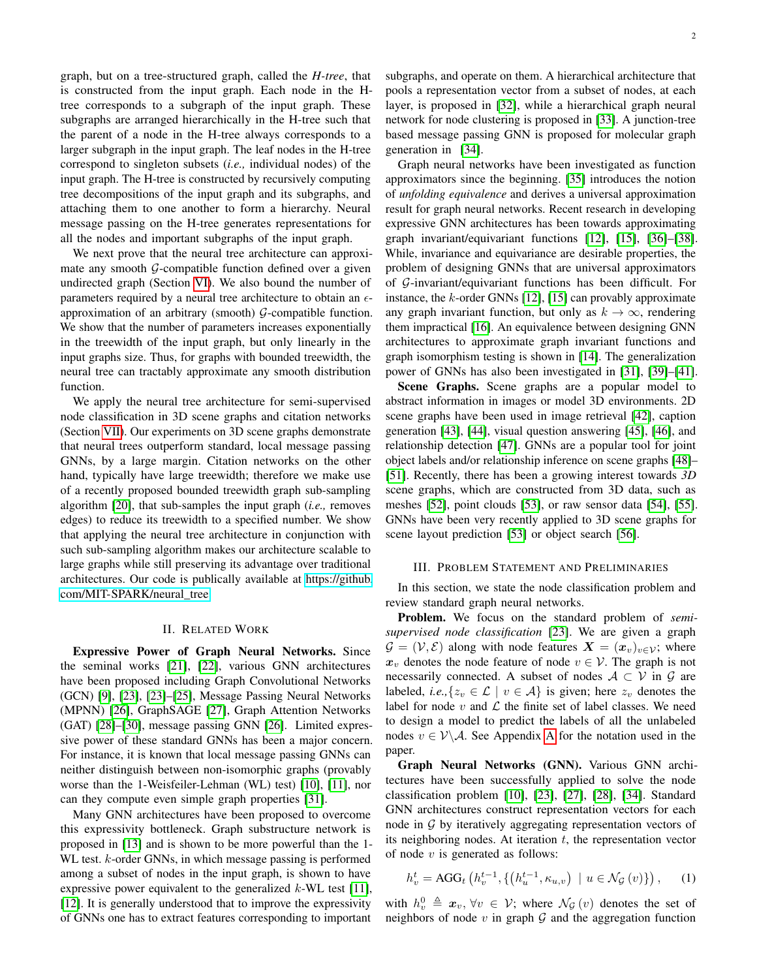graph, but on a tree-structured graph, called the *H-tree*, that is constructed from the input graph. Each node in the Htree corresponds to a subgraph of the input graph. These subgraphs are arranged hierarchically in the H-tree such that the parent of a node in the H-tree always corresponds to a larger subgraph in the input graph. The leaf nodes in the H-tree correspond to singleton subsets (*i.e.,* individual nodes) of the input graph. The H-tree is constructed by recursively computing tree decompositions of the input graph and its subgraphs, and attaching them to one another to form a hierarchy. Neural message passing on the H-tree generates representations for all the nodes and important subgraphs of the input graph.

We next prove that the neural tree architecture can approximate any smooth  $G$ -compatible function defined over a given undirected graph (Section [VI\)](#page-4-0). We also bound the number of parameters required by a neural tree architecture to obtain an  $\epsilon$ approximation of an arbitrary (smooth)  $G$ -compatible function. We show that the number of parameters increases exponentially in the treewidth of the input graph, but only linearly in the input graphs size. Thus, for graphs with bounded treewidth, the neural tree can tractably approximate any smooth distribution function.

We apply the neural tree architecture for semi-supervised node classification in 3D scene graphs and citation networks (Section [VII\)](#page-5-0). Our experiments on 3D scene graphs demonstrate that neural trees outperform standard, local message passing GNNs, by a large margin. Citation networks on the other hand, typically have large treewidth; therefore we make use of a recently proposed bounded treewidth graph sub-sampling algorithm [\[20\]](#page-8-17), that sub-samples the input graph (*i.e.,* removes edges) to reduce its treewidth to a specified number. We show that applying the neural tree architecture in conjunction with such sub-sampling algorithm makes our architecture scalable to large graphs while still preserving its advantage over traditional architectures. Our code is publically available at [https://github.](https://github.com/MIT-SPARK/neural_tree) [com/MIT-SPARK/neural\\_tree](https://github.com/MIT-SPARK/neural_tree)

#### II. RELATED WORK

Expressive Power of Graph Neural Networks. Since the seminal works [\[21\]](#page-8-18), [\[22\]](#page-8-19), various GNN architectures have been proposed including Graph Convolutional Networks (GCN) [\[9\]](#page-8-7), [\[23\]](#page-8-20), [\[23\]](#page-8-20)–[\[25\]](#page-8-21), Message Passing Neural Networks (MPNN) [\[26\]](#page-8-22), GraphSAGE [\[27\]](#page-8-23), Graph Attention Networks (GAT) [\[28\]](#page-8-24)–[\[30\]](#page-8-25), message passing GNN [\[26\]](#page-8-22). Limited expressive power of these standard GNNs has been a major concern. For instance, it is known that local message passing GNNs can neither distinguish between non-isomorphic graphs (provably worse than the 1-Weisfeiler-Lehman (WL) test) [\[10\]](#page-8-8), [\[11\]](#page-8-26), nor can they compute even simple graph properties [\[31\]](#page-8-27).

Many GNN architectures have been proposed to overcome this expressivity bottleneck. Graph substructure network is proposed in [\[13\]](#page-8-9) and is shown to be more powerful than the 1- WL test. *k*-order GNNs, in which message passing is performed among a subset of nodes in the input graph, is shown to have expressive power equivalent to the generalized  $k$ -WL test [\[11\]](#page-8-26), [\[12\]](#page-8-12). It is generally understood that to improve the expressivity of GNNs one has to extract features corresponding to important

subgraphs, and operate on them. A hierarchical architecture that pools a representation vector from a subset of nodes, at each layer, is proposed in [\[32\]](#page-8-28), while a hierarchical graph neural network for node clustering is proposed in [\[33\]](#page-8-29). A junction-tree based message passing GNN is proposed for molecular graph generation in [\[34\]](#page-8-30).

Graph neural networks have been investigated as function approximators since the beginning. [\[35\]](#page-8-31) introduces the notion of *unfolding equivalence* and derives a universal approximation result for graph neural networks. Recent research in developing expressive GNN architectures has been towards approximating graph invariant/equivariant functions [\[12\]](#page-8-12), [\[15\]](#page-8-11), [\[36\]](#page-8-32)–[\[38\]](#page-8-33). While, invariance and equivariance are desirable properties, the problem of designing GNNs that are universal approximators of G-invariant/equivariant functions has been difficult. For instance, the k-order GNNs [\[12\]](#page-8-12), [\[15\]](#page-8-11) can provably approximate any graph invariant function, but only as  $k \to \infty$ , rendering them impractical [\[16\]](#page-8-13). An equivalence between designing GNN architectures to approximate graph invariant functions and graph isomorphism testing is shown in [\[14\]](#page-8-10). The generalization power of GNNs has also been investigated in [\[31\]](#page-8-27), [\[39\]](#page-8-34)–[\[41\]](#page-8-35).

Scene Graphs. Scene graphs are a popular model to abstract information in images or model 3D environments. 2D scene graphs have been used in image retrieval [\[42\]](#page-8-36), caption generation [\[43\]](#page-8-37), [\[44\]](#page-8-38), visual question answering [\[45\]](#page-8-39), [\[46\]](#page-8-40), and relationship detection [\[47\]](#page-8-41). GNNs are a popular tool for joint object labels and/or relationship inference on scene graphs [\[48\]](#page-8-42)– [\[51\]](#page-9-0). Recently, there has been a growing interest towards *3D* scene graphs, which are constructed from 3D data, such as meshes [\[52\]](#page-9-1), point clouds [\[53\]](#page-9-2), or raw sensor data [\[54\]](#page-9-3), [\[55\]](#page-9-4). GNNs have been very recently applied to 3D scene graphs for scene layout prediction [\[53\]](#page-9-2) or object search [\[56\]](#page-9-5).

#### III. PROBLEM STATEMENT AND PRELIMINARIES

In this section, we state the node classification problem and review standard graph neural networks.

Problem. We focus on the standard problem of *semisupervised node classification* [\[23\]](#page-8-20). We are given a graph  $\mathcal{G} = (\mathcal{V}, \mathcal{E})$  along with node features  $\mathbf{X} = (\mathbf{x}_v)_{v \in \mathcal{V}}$ ; where  $x_v$  denotes the node feature of node  $v \in V$ . The graph is not necessarily connected. A subset of nodes  $A \subset V$  in  $G$  are labeled, *i.e.*,  $\{z_v \in \mathcal{L} \mid v \in \mathcal{A}\}\$ is given; here  $z_v$  denotes the label for node  $v$  and  $\mathcal L$  the finite set of label classes. We need to design a model to predict the labels of all the unlabeled nodes  $v \in V \backslash A$  $v \in V \backslash A$ . See Appendix A for the notation used in the paper.

Graph Neural Networks (GNN). Various GNN architectures have been successfully applied to solve the node classification problem [\[10\]](#page-8-8), [\[23\]](#page-8-20), [\[27\]](#page-8-23), [\[28\]](#page-8-24), [\[34\]](#page-8-30). Standard GNN architectures construct representation vectors for each node in G by iteratively aggregating representation vectors of its neighboring nodes. At iteration  $t$ , the representation vector of node  $v$  is generated as follows:

$$
h_v^t = \text{AGG}_t\left(h_v^{t-1}, \{(h_u^{t-1}, \kappa_{u,v}) \mid u \in \mathcal{N}_{\mathcal{G}}(v)\}\right), \quad (1)
$$

with  $h_v^0 \triangleq \mathbf{x}_v, \forall v \in \mathcal{V}$ ; where  $\mathcal{N}_{\mathcal{G}}(v)$  denotes the set of neighbors of node  $v$  in graph  $G$  and the aggregation function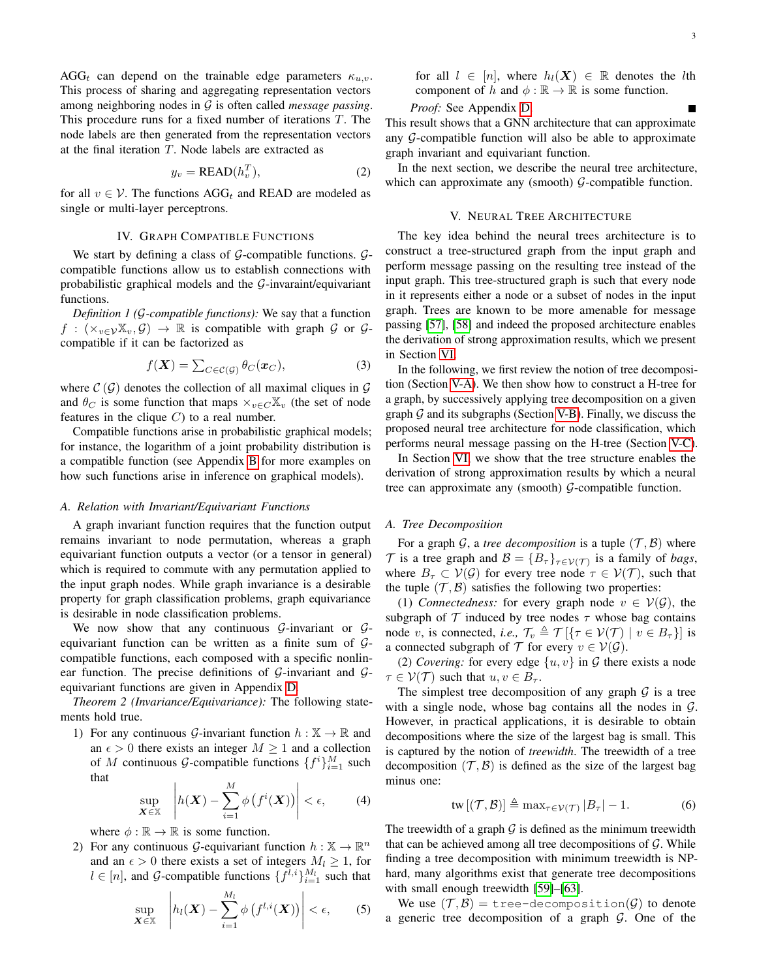AGG<sub>t</sub> can depend on the trainable edge parameters  $\kappa_{u,v}$ . This process of sharing and aggregating representation vectors among neighboring nodes in G is often called *message passing*. This procedure runs for a fixed number of iterations T. The node labels are then generated from the representation vectors at the final iteration  $T$ . Node labels are extracted as

<span id="page-2-4"></span>
$$
y_v = \text{READ}(h_v^T),\tag{2}
$$

for all  $v \in V$ . The functions AGG<sub>t</sub> and READ are modeled as single or multi-layer perceptrons.

#### IV. GRAPH COMPATIBLE FUNCTIONS

<span id="page-2-0"></span>We start by defining a class of  $G$ -compatible functions.  $G$ compatible functions allow us to establish connections with probabilistic graphical models and the  $G$ -invaraint/equivariant functions.

<span id="page-2-3"></span>*Definition 1 (*G*-compatible functions):* We say that a function  $f : (\times_{v \in \mathcal{V}} \mathbb{X}_v, \mathcal{G}) \to \mathbb{R}$  is compatible with graph  $\mathcal{G}$  or  $\mathcal{G}$ compatible if it can be factorized as

<span id="page-2-5"></span>
$$
f(\boldsymbol{X}) = \sum_{C \in \mathcal{C}(\mathcal{G})} \theta_C(\boldsymbol{x}_C), \tag{3}
$$

where  $\mathcal{C}(\mathcal{G})$  denotes the collection of all maximal cliques in  $\mathcal{G}$ and  $\theta_C$  is some function that maps  $\times_{v \in C}\mathbb{X}_v$  (the set of node features in the clique  $C$ ) to a real number.

Compatible functions arise in probabilistic graphical models; for instance, the logarithm of a joint probability distribution is a compatible function (see Appendix [B](#page-9-7) for more examples on how such functions arise in inference on graphical models).

#### *A. Relation with Invariant/Equivariant Functions*

A graph invariant function requires that the function output remains invariant to node permutation, whereas a graph equivariant function outputs a vector (or a tensor in general) which is required to commute with any permutation applied to the input graph nodes. While graph invariance is a desirable property for graph classification problems, graph equivariance is desirable in node classification problems.

We now show that any continuous  $\mathcal{G}$ -invariant or  $\mathcal{G}$ equivariant function can be written as a finite sum of Gcompatible functions, each composed with a specific nonlinear function. The precise definitions of  $G$ -invariant and  $G$ equivariant functions are given in Appendix [D.](#page-10-0)

*Theorem 2 (Invariance/Equivariance):* The following statements hold true.

1) For any continuous G-invariant function  $h : \mathbb{X} \to \mathbb{R}$  and an  $\epsilon > 0$  there exists an integer  $M \ge 1$  and a collection of M continuous G-compatible functions  $\{f^i\}_{i=1}^M$  such that

$$
\sup_{\mathbf{X}\in\mathbb{X}}\left|h(\mathbf{X})-\sum_{i=1}^M\phi\left(f^i(\mathbf{X})\right)\right|<\epsilon,\qquad(4)
$$

where  $\phi : \mathbb{R} \to \mathbb{R}$  is some function.

2) For any continuous G-equivariant function  $h : \mathbb{X} \to \mathbb{R}^n$ and an  $\epsilon > 0$  there exists a set of integers  $M_l \geq 1$ , for  $l \in [n]$ , and G-compatible functions  $\{ \bar{f}^{l,i} \}_{i=1}^{M_l}$  such that

$$
\sup_{\mathbf{X}\in\mathbb{X}}\left|h_l(\mathbf{X})-\sum_{i=1}^{M_l}\phi\left(f^{l,i}(\mathbf{X})\right)\right|<\epsilon,\qquad(5)
$$

for all  $l \in [n]$ , where  $h_l(X) \in \mathbb{R}$  denotes the *l*th component of h and  $\phi : \mathbb{R} \to \mathbb{R}$  is some function.

## *Proof:* See Appendix [D.](#page-10-0)

This result shows that a GNN architecture that can approximate any  $G$ -compatible function will also be able to approximate graph invariant and equivariant function.

In the next section, we describe the neural tree architecture, which can approximate any (smooth)  $G$ -compatible function.

#### V. NEURAL TREE ARCHITECTURE

<span id="page-2-1"></span>The key idea behind the neural trees architecture is to construct a tree-structured graph from the input graph and perform message passing on the resulting tree instead of the input graph. This tree-structured graph is such that every node in it represents either a node or a subset of nodes in the input graph. Trees are known to be more amenable for message passing [\[57\]](#page-9-8), [\[58\]](#page-9-9) and indeed the proposed architecture enables the derivation of strong approximation results, which we present in Section [VI.](#page-4-0)

In the following, we first review the notion of tree decomposition (Section [V-A\)](#page-2-2). We then show how to construct a H-tree for a graph, by successively applying tree decomposition on a given graph  $G$  and its subgraphs (Section [V-B\)](#page-3-0). Finally, we discuss the proposed neural tree architecture for node classification, which performs neural message passing on the H-tree (Section [V-C\)](#page-4-1).

In Section [VI,](#page-4-0) we show that the tree structure enables the derivation of strong approximation results by which a neural tree can approximate any (smooth)  $G$ -compatible function.

#### <span id="page-2-2"></span>*A. Tree Decomposition*

For a graph  $G$ , a *tree decomposition* is a tuple  $(\mathcal{T}, \mathcal{B})$  where T is a tree graph and  $\mathcal{B} = \{B_\tau\}_{\tau \in \mathcal{V}(\mathcal{T})}$  is a family of *bags*, where  $B_{\tau} \subset V(G)$  for every tree node  $\tau \in V(\mathcal{T})$ , such that the tuple  $(\mathcal{T}, \mathcal{B})$  satisfies the following two properties:

(1) *Connectedness:* for every graph node  $v \in V(G)$ , the subgraph of  $\mathcal T$  induced by tree nodes  $\tau$  whose bag contains node v, is connected, *i.e.*,  $\mathcal{T}_v \triangleq \mathcal{T} [\{\tau \in \mathcal{V}(\mathcal{T}) \mid v \in B_\tau\}]$  is a connected subgraph of  $\mathcal T$  for every  $v \in \mathcal V(\mathcal G)$ .

(2) *Covering:* for every edge  $\{u, v\}$  in G there exists a node  $\tau \in \mathcal{V}(\mathcal{T})$  such that  $u, v \in B_{\tau}$ .

<span id="page-2-6"></span>The simplest tree decomposition of any graph  $G$  is a tree with a single node, whose bag contains all the nodes in  $G$ . However, in practical applications, it is desirable to obtain decompositions where the size of the largest bag is small. This is captured by the notion of *treewidth*. The treewidth of a tree decomposition  $(\mathcal{T}, \mathcal{B})$  is defined as the size of the largest bag minus one:

<span id="page-2-7"></span>
$$
\operatorname{tw}\left[ (\mathcal{T},\mathcal{B})\right] \triangleq \max_{\tau \in \mathcal{V}(\mathcal{T})} |B_{\tau}| - 1. \tag{6}
$$

The treewidth of a graph  $G$  is defined as the minimum treewidth that can be achieved among all tree decompositions of  $G$ . While finding a tree decomposition with minimum treewidth is NPhard, many algorithms exist that generate tree decompositions with small enough treewidth [\[59\]](#page-9-10)–[\[63\]](#page-9-11).

We use  $(\mathcal{T}, \mathcal{B}) =$  tree-decomposition( $\mathcal{G}$ ) to denote a generic tree decomposition of a graph  $G$ . One of the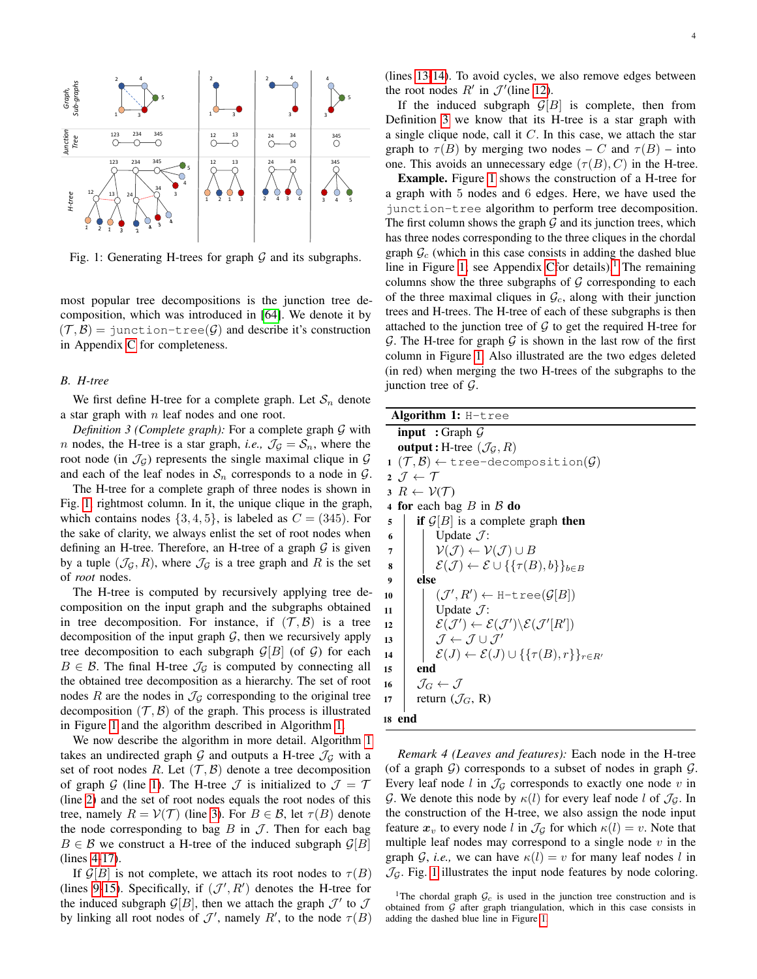<span id="page-3-1"></span>

Fig. 1: Generating H-trees for graph  $G$  and its subgraphs.

most popular tree decompositions is the junction tree decomposition, which was introduced in [\[64\]](#page-9-12). We denote it by  $(\mathcal{T}, \mathcal{B})$  = junction-tree( $\mathcal{G}$ ) and describe it's construction in Appendix [C](#page-10-1) for completeness.

## <span id="page-3-0"></span>*B. H-tree*

We first define H-tree for a complete graph. Let  $S_n$  denote a star graph with  $n$  leaf nodes and one root.

*Definition 3 (Complete graph):* For a complete graph G with *n* nodes, the H-tree is a star graph, *i.e.*,  $\mathcal{J}_\mathcal{G} = \mathcal{S}_n$ , where the root node (in  $\mathcal{J}_G$ ) represents the single maximal clique in  $\mathcal G$ and each of the leaf nodes in  $S_n$  corresponds to a node in  $G$ .

The H-tree for a complete graph of three nodes is shown in Fig. [1,](#page-3-1) rightmost column. In it, the unique clique in the graph, which contains nodes  $\{3, 4, 5\}$ , is labeled as  $C = (345)$ . For the sake of clarity, we always enlist the set of root nodes when defining an H-tree. Therefore, an H-tree of a graph  $G$  is given by a tuple  $(\mathcal{J}_G, R)$ , where  $\mathcal{J}_G$  is a tree graph and R is the set of *root* nodes.

The H-tree is computed by recursively applying tree decomposition on the input graph and the subgraphs obtained in tree decomposition. For instance, if  $(\mathcal{T}, \mathcal{B})$  is a tree decomposition of the input graph  $G$ , then we recursively apply tree decomposition to each subgraph  $\mathcal{G}[B]$  (of  $\mathcal{G}$ ) for each  $B \in \mathcal{B}$ . The final H-tree  $\mathcal{J}_{\mathcal{G}}$  is computed by connecting all the obtained tree decomposition as a hierarchy. The set of root nodes R are the nodes in  $\mathcal{J}_\mathcal{G}$  corresponding to the original tree decomposition  $(\mathcal{T}, \mathcal{B})$  of the graph. This process is illustrated in Figure [1](#page-3-1) and the algorithm described in Algorithm [1.](#page-3-2)

We now describe the algorithm in more detail. Algorithm [1](#page-3-2) takes an undirected graph  $G$  and outputs a H-tree  $\mathcal{J}_G$  with a set of root nodes R. Let  $(\mathcal{T}, \mathcal{B})$  denote a tree decomposition of graph G (line [1\)](#page-3-3). The H-tree  $\mathcal J$  is initialized to  $\mathcal J = \mathcal T$ (line [2\)](#page-3-4) and the set of root nodes equals the root nodes of this tree, namely  $R = V(\mathcal{T})$  (line [3\)](#page-3-5). For  $B \in \mathcal{B}$ , let  $\tau(B)$  denote the node corresponding to bag  $B$  in  $J$ . Then for each bag  $B \in \mathcal{B}$  we construct a H-tree of the induced subgraph  $\mathcal{G}[B]$ (lines [4-](#page-3-6)[17\)](#page-3-7).

If  $\mathcal{G}[B]$  is not complete, we attach its root nodes to  $\tau(B)$ (lines [9](#page-3-8)[-15\)](#page-3-9). Specifically, if  $(\mathcal{J}', R')$  denotes the H-tree for the induced subgraph  $\mathcal{G}[B]$ , then we attach the graph  $\mathcal{J}'$  to  $\mathcal{J}$ by linking all root nodes of  $\mathcal{J}'$ , namely  $R'$ , to the node  $\tau(B)$  (lines [13-](#page-3-10)[14\)](#page-3-11). To avoid cycles, we also remove edges between the root nodes  $R'$  in  $\mathcal{J}'$  (line [12\)](#page-3-12).

If the induced subgraph  $\mathcal{G}[B]$  is complete, then from Definition [3](#page-3-13) we know that its H-tree is a star graph with a single clique node, call it  $C$ . In this case, we attach the star graph to  $\tau(B)$  by merging two nodes – C and  $\tau(B)$  – into one. This avoids an unnecessary edge  $(\tau(B), C)$  in the H-tree.

Example. Figure [1](#page-3-1) shows the construction of a H-tree for a graph with 5 nodes and 6 edges. Here, we have used the junction-tree algorithm to perform tree decomposition. The first column shows the graph  $G$  and its junction trees, which has three nodes corresponding to the three cliques in the chordal graph  $\mathcal{G}_c$  (which in this case consists in adding the dashed blue line in Figure [1;](#page-3-1) see Appendix [Cf](#page-10-1)or details).<sup>[1](#page-3-14)</sup> The remaining columns show the three subgraphs of  $G$  corresponding to each of the three maximal cliques in  $\mathcal{G}_c$ , along with their junction trees and H-trees. The H-tree of each of these subgraphs is then attached to the junction tree of  $G$  to get the required H-tree for G. The H-tree for graph  $G$  is shown in the last row of the first column in Figure [1.](#page-3-1) Also illustrated are the two edges deleted (in red) when merging the two H-trees of the subgraphs to the junction tree of  $\mathcal{G}$ .

<span id="page-3-13"></span><span id="page-3-8"></span><span id="page-3-6"></span><span id="page-3-5"></span><span id="page-3-4"></span><span id="page-3-3"></span>

| Algorithm 1: H-tree                                                                                             |
|-----------------------------------------------------------------------------------------------------------------|
|                                                                                                                 |
| <b>input</b> : Graph $\mathcal G$                                                                               |
| <b>output</b> : H-tree $(\mathcal{J}_G, R)$                                                                     |
| $1 (\mathcal{T}, \mathcal{B}) \leftarrow$ tree-decomposition( $\mathcal{G}$ )                                   |
| 2 . $\mathcal{T} \leftarrow \mathcal{T}$                                                                        |
| $3 R \leftarrow \mathcal{V}(\mathcal{T})$                                                                       |
| 4 for each bag $B$ in $\beta$ do                                                                                |
| <b>if</b> $\mathcal{G}[B]$ is a complete graph then<br>5                                                        |
| Update $\mathcal{J}$ :<br>6                                                                                     |
| $\mathcal{V}(\mathcal{J}) \leftarrow \mathcal{V}(\mathcal{J}) \cup B$<br>$\overline{7}$                         |
| $\mathcal{E}(\mathcal{J}) \leftarrow \mathcal{E} \cup \{\{\tau(B),b\}\}_{b \in B}$<br>8                         |
| else<br>9                                                                                                       |
| $(\mathcal{J}', R') \leftarrow H\text{-tree}(\mathcal{G}[B])$<br>10                                             |
| Update $\mathcal{J}$ :<br>11                                                                                    |
| $\mathcal{E}(\mathcal{J}') \leftarrow \mathcal{E}(\mathcal{J}') \backslash \mathcal{E}(\mathcal{J}'[R'])$<br>12 |
| $\mathcal{J} \leftarrow \mathcal{J} \cup \mathcal{J}'$<br>13                                                    |
| $\mathcal{E}(J) \leftarrow \mathcal{E}(J) \cup \{\{\tau(B),r\}\}_{r \in R'}$<br>14                              |
| end<br>15                                                                                                       |
| $\mathcal{J}_G \leftarrow \mathcal{J}$<br>16                                                                    |
| return $(\mathcal{J}_G, R)$<br>17                                                                               |
| 18 end                                                                                                          |

<span id="page-3-12"></span><span id="page-3-11"></span><span id="page-3-10"></span><span id="page-3-9"></span><span id="page-3-7"></span><span id="page-3-2"></span>*Remark 4 (Leaves and features):* Each node in the H-tree (of a graph  $G$ ) corresponds to a subset of nodes in graph  $G$ . Every leaf node  $l$  in  $\mathcal{J}_G$  corresponds to exactly one node  $v$  in G. We denote this node by  $\kappa(l)$  for every leaf node l of  $\mathcal{J}_G$ . In the construction of the H-tree, we also assign the node input feature  $x_v$  to every node l in  $\mathcal{J}_\mathcal{G}$  for which  $\kappa(l) = v$ . Note that multiple leaf nodes may correspond to a single node  $v$  in the graph G, *i.e.*, we can have  $\kappa(l) = v$  for many leaf nodes l in  $\mathcal{J}_G$ . Fig. [1](#page-3-1) illustrates the input node features by node coloring.

<span id="page-3-14"></span><sup>&</sup>lt;sup>1</sup>The chordal graph  $\mathcal{G}_c$  is used in the junction tree construction and is obtained from  $G$  after graph triangulation, which in this case consists in adding the dashed blue line in Figure [1.](#page-3-1)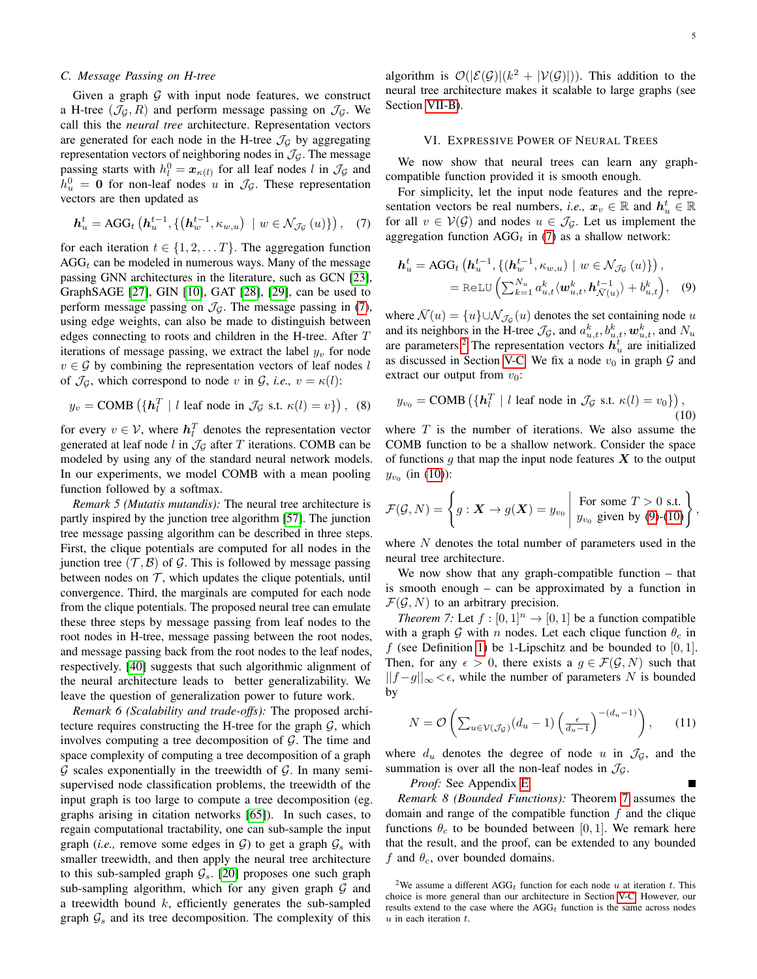## <span id="page-4-1"></span>*C. Message Passing on H-tree*

Given a graph  $G$  with input node features, we construct a H-tree  $(\mathcal{J}_G, R)$  and perform message passing on  $\mathcal{J}_G$ . We call this the *neural tree* architecture. Representation vectors are generated for each node in the H-tree  $\mathcal{J}_G$  by aggregating representation vectors of neighboring nodes in  $\mathcal{J}_\mathcal{G}$ . The message passing starts with  $h_l^0 = \mathbf{x}_{\kappa(l)}$  for all leaf nodes l in  $\mathcal{J}_{\mathcal{G}}$  and  $h_u^0 = 0$  for non-leaf nodes u in  $\mathcal{J}_\mathcal{G}$ . These representation vectors are then updated as

<span id="page-4-2"></span>
$$
\boldsymbol{h}_u^t = \text{AGG}_t\left(\boldsymbol{h}_u^{t-1}, \{(\boldsymbol{h}_w^{t-1}, \kappa_{w,u}) \mid w \in \mathcal{N}_{\mathcal{J}_{\mathcal{G}}}(u)\}\right), \quad (7)
$$

for each iteration  $t \in \{1, 2, \dots T\}$ . The aggregation function  $AGG_t$  can be modeled in numerous ways. Many of the message passing GNN architectures in the literature, such as GCN [\[23\]](#page-8-20), GraphSAGE [\[27\]](#page-8-23), GIN [\[10\]](#page-8-8), GAT [\[28\]](#page-8-24), [\[29\]](#page-8-43), can be used to perform message passing on  $\mathcal{J}_\mathcal{G}$ . The message passing in [\(7\)](#page-4-2), using edge weights, can also be made to distinguish between edges connecting to roots and children in the H-tree. After T iterations of message passing, we extract the label  $y_v$  for node  $v \in \mathcal{G}$  by combining the representation vectors of leaf nodes l of  $\mathcal{J}_{\mathcal{G}}$ , which correspond to node v in  $\mathcal{G}$ , *i.e.*,  $v = \kappa(l)$ :

<span id="page-4-8"></span>
$$
y_v = \text{COMB} \left( \left\{ \mathbf{h}_l^T \mid l \text{ leaf node in } \mathcal{J}_{\mathcal{G}} \text{ s.t. } \kappa(l) = v \right\} \right), \tag{8}
$$

for every  $v \in V$ , where  $\mathbf{h}_l^T$  denotes the representation vector generated at leaf node l in  $\mathcal{J}_{\mathcal{G}}$  after T iterations. COMB can be modeled by using any of the standard neural network models. In our experiments, we model COMB with a mean pooling function followed by a softmax.

*Remark 5 (Mutatis mutandis):* The neural tree architecture is partly inspired by the junction tree algorithm [\[57\]](#page-9-8). The junction tree message passing algorithm can be described in three steps. First, the clique potentials are computed for all nodes in the junction tree  $(\mathcal{T}, \mathcal{B})$  of  $\mathcal{G}$ . This is followed by message passing between nodes on  $\mathcal T$ , which updates the clique potentials, until convergence. Third, the marginals are computed for each node from the clique potentials. The proposed neural tree can emulate these three steps by message passing from leaf nodes to the root nodes in H-tree, message passing between the root nodes, and message passing back from the root nodes to the leaf nodes, respectively. [\[40\]](#page-8-44) suggests that such algorithmic alignment of the neural architecture leads to better generalizability. We leave the question of generalization power to future work.

<span id="page-4-7"></span>*Remark 6 (Scalability and trade-offs):* The proposed architecture requires constructing the H-tree for the graph  $G$ , which involves computing a tree decomposition of  $G$ . The time and space complexity of computing a tree decomposition of a graph  $G$  scales exponentially in the treewidth of  $G$ . In many semisupervised node classification problems, the treewidth of the input graph is too large to compute a tree decomposition (eg. graphs arising in citation networks [\[65\]](#page-9-13)). In such cases, to regain computational tractability, one can sub-sample the input graph (*i.e.*, remove some edges in  $\mathcal{G}$ ) to get a graph  $\mathcal{G}_s$  with smaller treewidth, and then apply the neural tree architecture to this sub-sampled graph  $\mathcal{G}_s$ . [\[20\]](#page-8-17) proposes one such graph sub-sampling algorithm, which for any given graph  $G$  and a treewidth bound  $k$ , efficiently generates the sub-sampled graph  $\mathcal{G}_s$  and its tree decomposition. The complexity of this

algorithm is  $\mathcal{O}(|\mathcal{E}(\mathcal{G})|(k^2 + |\mathcal{V}(\mathcal{G})|))$ . This addition to the neural tree architecture makes it scalable to large graphs (see Section [VII-B\)](#page-6-0).

#### VI. EXPRESSIVE POWER OF NEURAL TREES

<span id="page-4-0"></span>We now show that neural trees can learn any graphcompatible function provided it is smooth enough.

For simplicity, let the input node features and the representation vectors be real numbers, *i.e.*,  $x_v \in \mathbb{R}$  and  $h_u^t \in \mathbb{R}$ for all  $v \in V(G)$  and nodes  $u \in \mathcal{J}_G$ . Let us implement the aggregation function  $AGG_t$  in [\(7\)](#page-4-2) as a shallow network:

<span id="page-4-5"></span>
$$
\mathbf{h}_{u}^{t} = \text{AGG}_{t} \left( \mathbf{h}_{u}^{t-1}, \{ (\mathbf{h}_{w}^{t-1}, \kappa_{w,u}) \mid w \in \mathcal{N}_{\mathcal{J}_{\mathcal{G}}}(u) \} \right),
$$
  

$$
= \text{ReLU} \left( \sum_{k=1}^{N_{u}} a_{u,t}^{k} \langle \mathbf{w}_{u,t}^{k}, \mathbf{h}_{\bar{\mathcal{N}}(u)}^{t-1} \rangle + b_{u,t}^{k} \right), \quad (9)
$$

where  $\bar{\mathcal{N}}(u) = \{u\} \cup \mathcal{N}_{\mathcal{J}_{\mathcal{G}}}(u)$  denotes the set containing node u and its neighbors in the H-tree  $\mathcal{J}_\mathcal{G}$ , and  $a_{u,t}^k, b_{u,t}^k, \mathbf{w}_{u,t}^k$ , and  $N_u$ are parameters.<sup>[2](#page-4-3)</sup> The representation vectors  $h_u^t$  are initialized as discussed in Section [V-C.](#page-4-1) We fix a node  $v_0$  in graph  $\mathcal G$  and extract our output from  $v_0$ :

<span id="page-4-4"></span>
$$
y_{v_0} = \text{COMB}\left(\left\{\boldsymbol{h}_l^T \mid l \text{ leaf node in } \mathcal{J}_{\mathcal{G}} \text{ s.t. } \kappa(l) = v_0\right\}\right),\tag{10}
$$

where  $T$  is the number of iterations. We also assume the COMB function to be a shallow network. Consider the space of functions g that map the input node features  $X$  to the output  $y_{v_0}$  (in [\(10\)](#page-4-4)):

<span id="page-4-9"></span>
$$
\mathcal{F}(\mathcal{G}, N) = \left\{ g: \mathbf{X} \to g(\mathbf{X}) = y_{v_0} \middle| \begin{array}{l} \text{For some } T > 0 \text{ s.t.} \\ y_{v_0} \text{ given by (9)-(10)} \end{array} \right\},
$$

where  $N$  denotes the total number of parameters used in the neural tree architecture.

<span id="page-4-6"></span>We now show that any graph-compatible function – that is smooth enough – can be approximated by a function in  $\mathcal{F}(\mathcal{G}, N)$  to an arbitrary precision.

*Theorem 7:* Let  $f : [0, 1]^n \rightarrow [0, 1]$  be a function compatible with a graph G with n nodes. Let each clique function  $\theta_c$  in f (see Definition [1\)](#page-2-3) be 1-Lipschitz and be bounded to  $[0, 1]$ . Then, for any  $\epsilon > 0$ , there exists a  $g \in \mathcal{F}(\mathcal{G}, N)$  such that  $||f-g||_{\infty} < \epsilon$ , while the number of parameters N is bounded by

$$
N = \mathcal{O}\left(\sum_{u \in \mathcal{V}(\mathcal{J}_{\mathcal{G}})} (d_u - 1) \left(\frac{\epsilon}{d_u - 1}\right)^{-(d_u - 1)}\right),\qquad(11)
$$

where  $d_u$  denotes the degree of node u in  $\mathcal{J}_\mathcal{G}$ , and the summation is over all the non-leaf nodes in  $\mathcal{J}_\mathcal{G}$ .

*Proof:* See Appendix [E.](#page-11-0)

*Remark 8 (Bounded Functions):* Theorem [7](#page-4-6) assumes the domain and range of the compatible function  $f$  and the clique functions  $\theta_c$  to be bounded between [0, 1]. We remark here that the result, and the proof, can be extended to any bounded f and  $\theta_c$ , over bounded domains.

<span id="page-4-3"></span><sup>&</sup>lt;sup>2</sup>We assume a different AGG<sub>t</sub> function for each node u at iteration t. This choice is more general than our architecture in Section [V-C.](#page-4-1) However, our results extend to the case where the  $AGG_t$  function is the same across nodes  $u$  in each iteration  $t$ .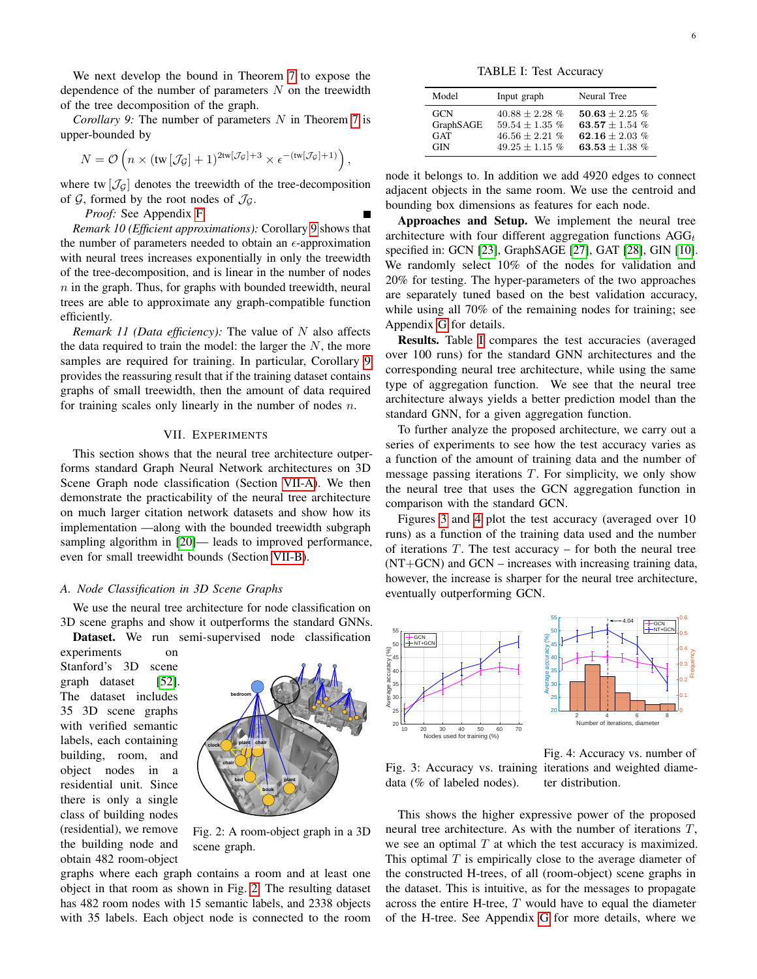We next develop the bound in Theorem [7](#page-4-6) to expose the dependence of the number of parameters  $N$  on the treewidth of the tree decomposition of the graph.

<span id="page-5-1"></span>*Corollary 9:* The number of parameters N in Theorem [7](#page-4-6) is upper-bounded by

$$
N = \mathcal{O}\left(n \times (\text{tw}\left[\mathcal{J}_{\mathcal{G}}\right]+1)^{2\text{tw}\left[\mathcal{J}_{\mathcal{G}}\right]+3} \times \epsilon^{-(\text{tw}\left[\mathcal{J}_{\mathcal{G}}\right]+1)}\right),\,
$$

where tw  $[\mathcal{J}_G]$  denotes the treewidth of the tree-decomposition of  $G$ , formed by the root nodes of  $\mathcal{J}_G$ .

*Proof:* See Appendix [F.](#page-14-0)

*Remark 10 (Efficient approximations):* Corollary [9](#page-5-1) shows that the number of parameters needed to obtain an  $\epsilon$ -approximation with neural trees increases exponentially in only the treewidth of the tree-decomposition, and is linear in the number of nodes  $n$  in the graph. Thus, for graphs with bounded treewidth, neural trees are able to approximate any graph-compatible function efficiently.

*Remark 11 (Data efficiency):* The value of N also affects the data required to train the model: the larger the  $N$ , the more samples are required for training. In particular, Corollary [9](#page-5-1) provides the reassuring result that if the training dataset contains graphs of small treewidth, then the amount of data required for training scales only linearly in the number of nodes  $n$ .

## VII. EXPERIMENTS

<span id="page-5-0"></span>This section shows that the neural tree architecture outperforms standard Graph Neural Network architectures on 3D Scene Graph node classification (Section [VII-A\)](#page-5-2). We then demonstrate the practicability of the neural tree architecture on much larger citation network datasets and show how its implementation —along with the bounded treewidth subgraph sampling algorithm in  $[20]$ — leads to improved performance, even for small treewidht bounds (Section [VII-B\)](#page-6-0).

## <span id="page-5-2"></span>*A. Node Classification in 3D Scene Graphs*

We use the neural tree architecture for node classification on 3D scene graphs and show it outperforms the standard GNNs. Dataset. We run semi-supervised node classification

experiments on Stanford's 3D scene graph dataset [\[52\]](#page-9-1). The dataset includes 35 3D scene graphs with verified semantic labels, each containing building, room, and object nodes in a residential unit. Since there is only a single class of building nodes (residential), we remove the building node and obtain 482 room-object

<span id="page-5-3"></span>

Fig. 2: A room-object graph in a 3D scene graph.

graphs where each graph contains a room and at least one object in that room as shown in Fig. [2.](#page-5-3) The resulting dataset has 482 room nodes with 15 semantic labels, and 2338 objects with 35 labels. Each object node is connected to the room

TABLE I: Test Accuracy

<span id="page-5-4"></span>

| Model      | Input graph      | Neural Tree        |
|------------|------------------|--------------------|
| GCN        | $40.88 + 2.28 %$ | $50.63 + 2.25\%$   |
| GraphSAGE  | $59.54 + 1.35\%$ | 63.57 + 1.54 $%$   |
| GAT        | $46.56 + 2.21\%$ | 62.16 $\pm$ 2.03 % |
| <b>GIN</b> | $49.25 + 1.15\%$ | 63.53 + 1.38 $%$   |

node it belongs to. In addition we add 4920 edges to connect adjacent objects in the same room. We use the centroid and bounding box dimensions as features for each node.

Approaches and Setup. We implement the neural tree architecture with four different aggregation functions  $AGG_t$ specified in: GCN [\[23\]](#page-8-20), GraphSAGE [\[27\]](#page-8-23), GAT [\[28\]](#page-8-24), GIN [\[10\]](#page-8-8). We randomly select 10% of the nodes for validation and 20% for testing. The hyper-parameters of the two approaches are separately tuned based on the best validation accuracy, while using all 70% of the remaining nodes for training; see Appendix [G](#page-15-0) for details.

Results. Table [I](#page-5-4) compares the test accuracies (averaged over 100 runs) for the standard GNN architectures and the corresponding neural tree architecture, while using the same type of aggregation function. We see that the neural tree architecture always yields a better prediction model than the standard GNN, for a given aggregation function.

To further analyze the proposed architecture, we carry out a series of experiments to see how the test accuracy varies as a function of the amount of training data and the number of message passing iterations  $T$ . For simplicity, we only show the neural tree that uses the GCN aggregation function in comparison with the standard GCN.

Figures [3](#page-5-5) and [4](#page-5-5) plot the test accuracy (averaged over 10 runs) as a function of the training data used and the number of iterations  $T$ . The test accuracy – for both the neural tree (NT+GCN) and GCN – increases with increasing training data, however, the increase is sharper for the neural tree architecture, eventually outperforming GCN.

<span id="page-5-5"></span>

Fig. 3: Accuracy vs. training iterations and weighted diamedata (% of labeled nodes).

Fig. 4: Accuracy vs. number of ter distribution.

This shows the higher expressive power of the proposed neural tree architecture. As with the number of iterations T, we see an optimal  $T$  at which the test accuracy is maximized. This optimal  $T$  is empirically close to the average diameter of the constructed H-trees, of all (room-object) scene graphs in the dataset. This is intuitive, as for the messages to propagate across the entire H-tree,  $T$  would have to equal the diameter of the H-tree. See Appendix [G](#page-15-0) for more details, where we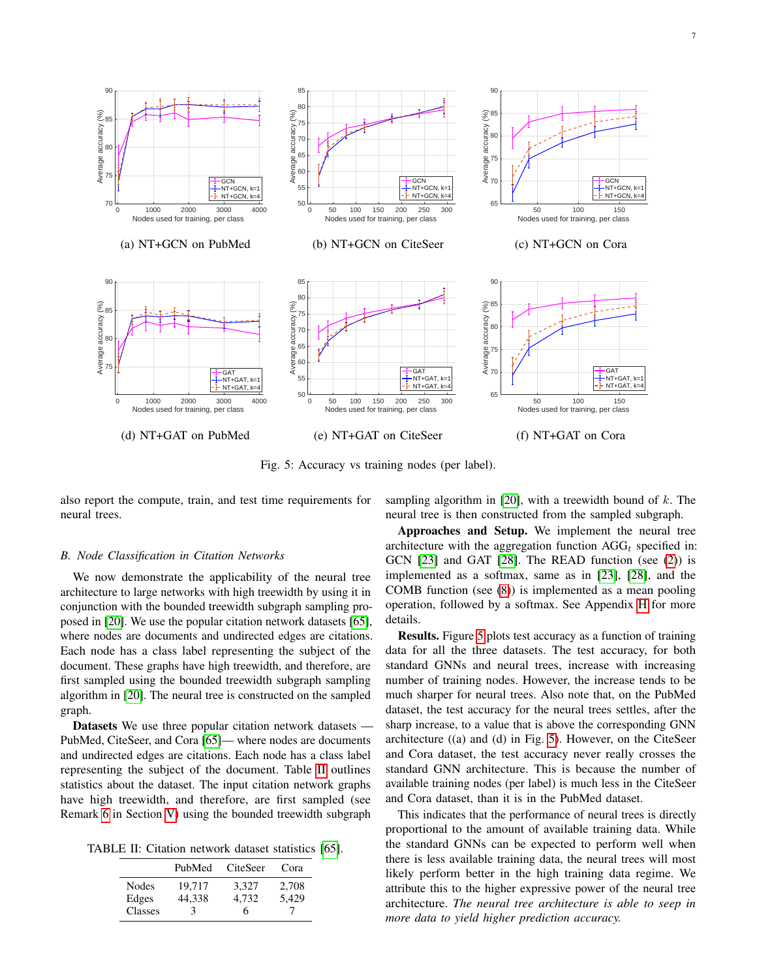<span id="page-6-2"></span>

Fig. 5: Accuracy vs training nodes (per label).

also report the compute, train, and test time requirements for neural trees.

### <span id="page-6-0"></span>*B. Node Classification in Citation Networks*

We now demonstrate the applicability of the neural tree architecture to large networks with high treewidth by using it in conjunction with the bounded treewidth subgraph sampling proposed in [\[20\]](#page-8-17). We use the popular citation network datasets [\[65\]](#page-9-13), where nodes are documents and undirected edges are citations. Each node has a class label representing the subject of the document. These graphs have high treewidth, and therefore, are first sampled using the bounded treewidth subgraph sampling algorithm in [\[20\]](#page-8-17). The neural tree is constructed on the sampled graph.

Datasets We use three popular citation network datasets — PubMed, CiteSeer, and Cora [\[65\]](#page-9-13)— where nodes are documents and undirected edges are citations. Each node has a class label representing the subject of the document. Table [II](#page-6-1) outlines statistics about the dataset. The input citation network graphs have high treewidth, and therefore, are first sampled (see Remark [6](#page-4-7) in Section [V\)](#page-2-1) using the bounded treewidth subgraph

<span id="page-6-1"></span>TABLE II: Citation network dataset statistics [\[65\]](#page-9-13).

|              | PubMed | <b>CiteSeer</b> | Cora  |
|--------------|--------|-----------------|-------|
| <b>Nodes</b> | 19.717 | 3,327           | 2,708 |
| Edges        | 44,338 | 4.732           | 5,429 |
| Classes      |        | 6               |       |

sampling algorithm in [\[20\]](#page-8-17), with a treewidth bound of  $k$ . The neural tree is then constructed from the sampled subgraph.

Approaches and Setup. We implement the neural tree architecture with the aggregation function  $AGG_t$  specified in: GCN [\[23\]](#page-8-20) and GAT [\[28\]](#page-8-24). The READ function (see [\(2\)](#page-2-4)) is implemented as a softmax, same as in [\[23\]](#page-8-20), [\[28\]](#page-8-24), and the COMB function (see [\(8\)](#page-4-8)) is implemented as a mean pooling operation, followed by a softmax. See Appendix [H](#page-16-0) for more details.

Results. Figure [5](#page-6-2) plots test accuracy as a function of training data for all the three datasets. The test accuracy, for both standard GNNs and neural trees, increase with increasing number of training nodes. However, the increase tends to be much sharper for neural trees. Also note that, on the PubMed dataset, the test accuracy for the neural trees settles, after the sharp increase, to a value that is above the corresponding GNN architecture ((a) and (d) in Fig. [5\)](#page-6-2). However, on the CiteSeer and Cora dataset, the test accuracy never really crosses the standard GNN architecture. This is because the number of available training nodes (per label) is much less in the CiteSeer and Cora dataset, than it is in the PubMed dataset.

This indicates that the performance of neural trees is directly proportional to the amount of available training data. While the standard GNNs can be expected to perform well when there is less available training data, the neural trees will most likely perform better in the high training data regime. We attribute this to the higher expressive power of the neural tree architecture. *The neural tree architecture is able to seep in more data to yield higher prediction accuracy.*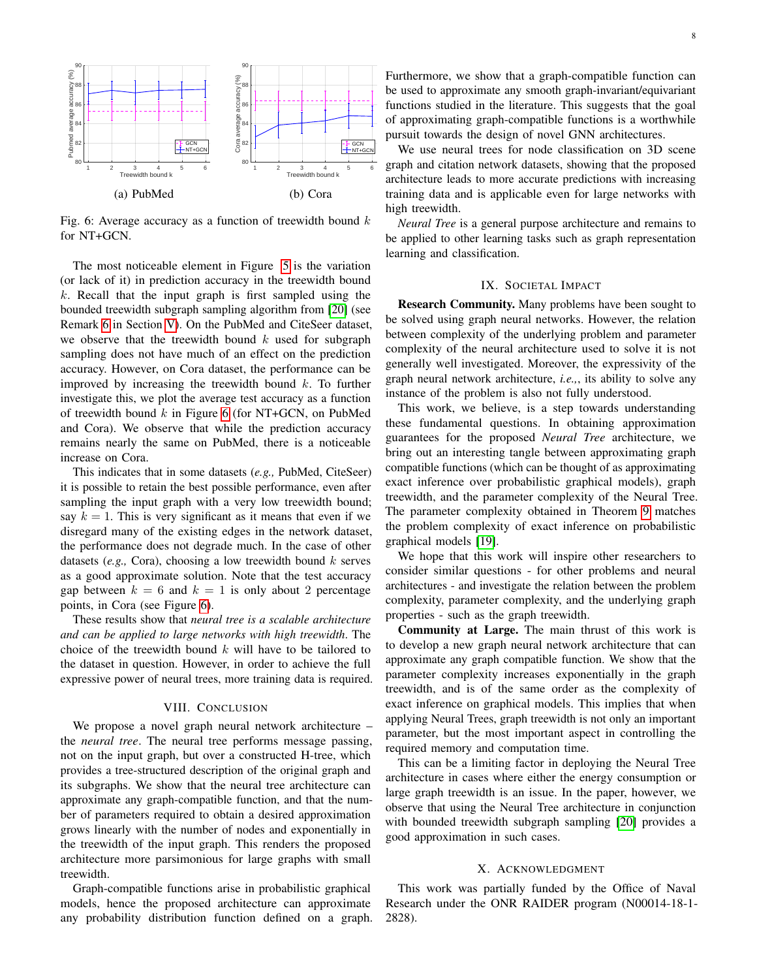<span id="page-7-0"></span>

Fig. 6: Average accuracy as a function of treewidth bound  $k$ for NT+GCN.

The most noticeable element in Figure [5](#page-6-2) is the variation (or lack of it) in prediction accuracy in the treewidth bound  $k$ . Recall that the input graph is first sampled using the bounded treewidth subgraph sampling algorithm from [\[20\]](#page-8-17) (see Remark [6](#page-4-7) in Section [V\)](#page-2-1). On the PubMed and CiteSeer dataset, we observe that the treewidth bound  $k$  used for subgraph sampling does not have much of an effect on the prediction accuracy. However, on Cora dataset, the performance can be improved by increasing the treewidth bound  $k$ . To further investigate this, we plot the average test accuracy as a function of treewidth bound  $k$  in Figure [6](#page-7-0) (for NT+GCN, on PubMed and Cora). We observe that while the prediction accuracy remains nearly the same on PubMed, there is a noticeable increase on Cora.

This indicates that in some datasets (*e.g.,* PubMed, CiteSeer) it is possible to retain the best possible performance, even after sampling the input graph with a very low treewidth bound; say  $k = 1$ . This is very significant as it means that even if we disregard many of the existing edges in the network dataset, the performance does not degrade much. In the case of other datasets  $(e.g., Cora)$ , choosing a low treewidth bound  $k$  serves as a good approximate solution. Note that the test accuracy gap between  $k = 6$  and  $k = 1$  is only about 2 percentage points, in Cora (see Figure [6\)](#page-7-0).

These results show that *neural tree is a scalable architecture and can be applied to large networks with high treewidth*. The choice of the treewidth bound  $k$  will have to be tailored to the dataset in question. However, in order to achieve the full expressive power of neural trees, more training data is required.

## VIII. CONCLUSION

We propose a novel graph neural network architecture – the *neural tree*. The neural tree performs message passing, not on the input graph, but over a constructed H-tree, which provides a tree-structured description of the original graph and its subgraphs. We show that the neural tree architecture can approximate any graph-compatible function, and that the number of parameters required to obtain a desired approximation grows linearly with the number of nodes and exponentially in the treewidth of the input graph. This renders the proposed architecture more parsimonious for large graphs with small treewidth.

Graph-compatible functions arise in probabilistic graphical models, hence the proposed architecture can approximate any probability distribution function defined on a graph. Furthermore, we show that a graph-compatible function can be used to approximate any smooth graph-invariant/equivariant functions studied in the literature. This suggests that the goal of approximating graph-compatible functions is a worthwhile pursuit towards the design of novel GNN architectures.

We use neural trees for node classification on 3D scene graph and citation network datasets, showing that the proposed architecture leads to more accurate predictions with increasing training data and is applicable even for large networks with high treewidth.

*Neural Tree* is a general purpose architecture and remains to be applied to other learning tasks such as graph representation learning and classification.

## IX. SOCIETAL IMPACT

Research Community. Many problems have been sought to be solved using graph neural networks. However, the relation between complexity of the underlying problem and parameter complexity of the neural architecture used to solve it is not generally well investigated. Moreover, the expressivity of the graph neural network architecture, *i.e.,*, its ability to solve any instance of the problem is also not fully understood.

This work, we believe, is a step towards understanding these fundamental questions. In obtaining approximation guarantees for the proposed *Neural Tree* architecture, we bring out an interesting tangle between approximating graph compatible functions (which can be thought of as approximating exact inference over probabilistic graphical models), graph treewidth, and the parameter complexity of the Neural Tree. The parameter complexity obtained in Theorem [9](#page-5-1) matches the problem complexity of exact inference on probabilistic graphical models [\[19\]](#page-8-16).

We hope that this work will inspire other researchers to consider similar questions - for other problems and neural architectures - and investigate the relation between the problem complexity, parameter complexity, and the underlying graph properties - such as the graph treewidth.

Community at Large. The main thrust of this work is to develop a new graph neural network architecture that can approximate any graph compatible function. We show that the parameter complexity increases exponentially in the graph treewidth, and is of the same order as the complexity of exact inference on graphical models. This implies that when applying Neural Trees, graph treewidth is not only an important parameter, but the most important aspect in controlling the required memory and computation time.

This can be a limiting factor in deploying the Neural Tree architecture in cases where either the energy consumption or large graph treewidth is an issue. In the paper, however, we observe that using the Neural Tree architecture in conjunction with bounded treewidth subgraph sampling [\[20\]](#page-8-17) provides a good approximation in such cases.

#### X. ACKNOWLEDGMENT

This work was partially funded by the Office of Naval Research under the ONR RAIDER program (N00014-18-1- 2828).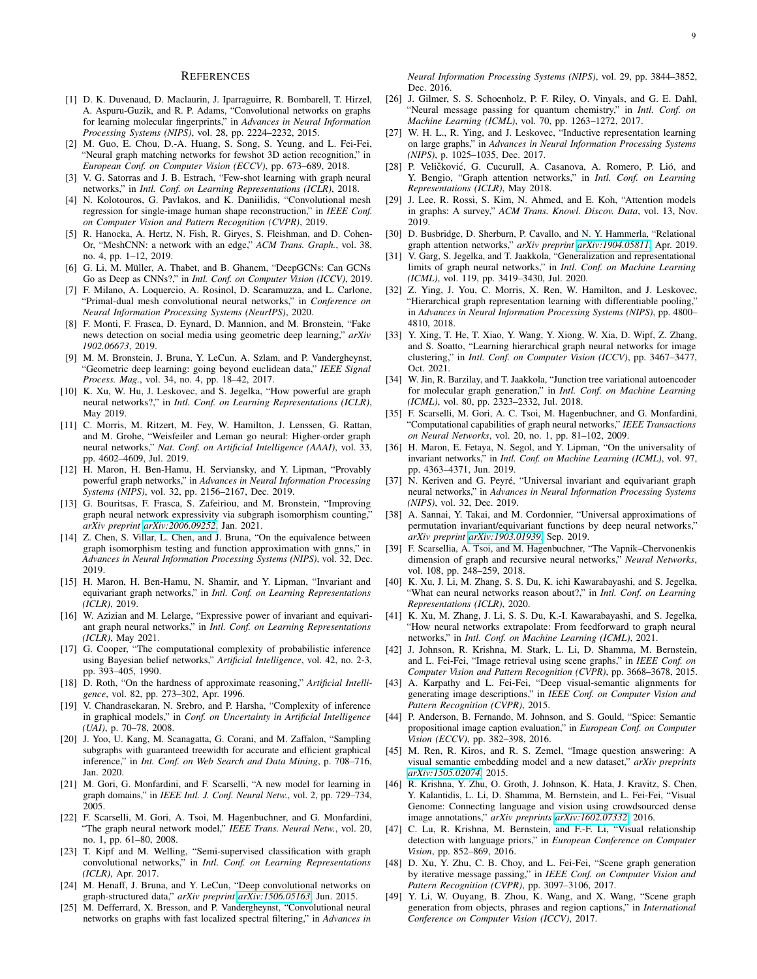#### **REFERENCES**

- <span id="page-8-0"></span>[1] D. K. Duvenaud, D. Maclaurin, J. Iparraguirre, R. Bombarell, T. Hirzel, A. Aspuru-Guzik, and R. P. Adams, "Convolutional networks on graphs for learning molecular fingerprints," in *Advances in Neural Information Processing Systems (NIPS)*, vol. 28, pp. 2224–2232, 2015.
- <span id="page-8-1"></span>[2] M. Guo, E. Chou, D.-A. Huang, S. Song, S. Yeung, and L. Fei-Fei, "Neural graph matching networks for fewshot 3D action recognition," in *European Conf. on Computer Vision (ECCV)*, pp. 673–689, 2018.
- <span id="page-8-2"></span>[3] V. G. Satorras and J. B. Estrach, "Few-shot learning with graph neural networks," in *Intl. Conf. on Learning Representations (ICLR)*, 2018.
- <span id="page-8-3"></span>[4] N. Kolotouros, G. Pavlakos, and K. Daniilidis, "Convolutional mesh regression for single-image human shape reconstruction," in *IEEE Conf. on Computer Vision and Pattern Recognition (CVPR)*, 2019.
- <span id="page-8-4"></span>[5] R. Hanocka, A. Hertz, N. Fish, R. Giryes, S. Fleishman, and D. Cohen-Or, "MeshCNN: a network with an edge," *ACM Trans. Graph.*, vol. 38, no. 4, pp. 1–12, 2019.
- [6] G. Li, M. Müller, A. Thabet, and B. Ghanem, "DeepGCNs: Can GCNs Go as Deep as CNNs?," in *Intl. Conf. on Computer Vision (ICCV)*, 2019.
- <span id="page-8-5"></span>[7] F. Milano, A. Loquercio, A. Rosinol, D. Scaramuzza, and L. Carlone, "Primal-dual mesh convolutional neural networks," in *Conference on Neural Information Processing Systems (NeurIPS)*, 2020.
- <span id="page-8-6"></span>[8] F. Monti, F. Frasca, D. Eynard, D. Mannion, and M. Bronstein, "Fake news detection on social media using geometric deep learning," *arXiv 1902.06673*, 2019.
- <span id="page-8-7"></span>[9] M. M. Bronstein, J. Bruna, Y. LeCun, A. Szlam, and P. Vandergheynst, "Geometric deep learning: going beyond euclidean data," *IEEE Signal Process. Mag.*, vol. 34, no. 4, pp. 18–42, 2017.
- <span id="page-8-8"></span>[10] K. Xu, W. Hu, J. Leskovec, and S. Jegelka, "How powerful are graph neural networks?," in *Intl. Conf. on Learning Representations (ICLR)*, May 2019.
- <span id="page-8-26"></span>[11] C. Morris, M. Ritzert, M. Fey, W. Hamilton, J. Lenssen, G. Rattan, and M. Grohe, "Weisfeiler and Leman go neural: Higher-order graph neural networks," *Nat. Conf. on Artificial Intelligence (AAAI)*, vol. 33, pp. 4602–4609, Jul. 2019.
- <span id="page-8-12"></span>[12] H. Maron, H. Ben-Hamu, H. Serviansky, and Y. Lipman, "Provably powerful graph networks," in *Advances in Neural Information Processing Systems (NIPS)*, vol. 32, pp. 2156–2167, Dec. 2019.
- <span id="page-8-9"></span>[13] G. Bouritsas, F. Frasca, S. Zafeiriou, and M. Bronstein, "Improving graph neural network expressivity via subgraph isomorphism counting,' *arXiv preprint [arXiv:2006.09252](http://arxiv.org/abs/2006.09252)*, Jan. 2021.
- <span id="page-8-10"></span>[14] Z. Chen, S. Villar, L. Chen, and J. Bruna, "On the equivalence between graph isomorphism testing and function approximation with gnns," in *Advances in Neural Information Processing Systems (NIPS)*, vol. 32, Dec. 2019.
- <span id="page-8-11"></span>[15] H. Maron, H. Ben-Hamu, N. Shamir, and Y. Lipman, "Invariant and equivariant graph networks," in *Intl. Conf. on Learning Representations (ICLR)*, 2019.
- <span id="page-8-13"></span>[16] W. Azizian and M. Lelarge, "Expressive power of invariant and equivariant graph neural networks," in *Intl. Conf. on Learning Representations (ICLR)*, May 2021.
- <span id="page-8-14"></span>[17] G. Cooper, "The computational complexity of probabilistic inference using Bayesian belief networks," *Artificial Intelligence*, vol. 42, no. 2-3, pp. 393–405, 1990.
- <span id="page-8-15"></span>[18] D. Roth, "On the hardness of approximate reasoning," *Artificial Intelligence*, vol. 82, pp. 273–302, Apr. 1996.
- <span id="page-8-16"></span>[19] V. Chandrasekaran, N. Srebro, and P. Harsha, "Complexity of inference in graphical models," in *Conf. on Uncertainty in Artificial Intelligence (UAI)*, p. 70–78, 2008.
- <span id="page-8-17"></span>[20] J. Yoo, U. Kang, M. Scanagatta, G. Corani, and M. Zaffalon, "Sampling subgraphs with guaranteed treewidth for accurate and efficient graphical inference," in *Int. Conf. on Web Search and Data Mining*, p. 708–716, Jan. 2020.
- <span id="page-8-18"></span>[21] M. Gori, G. Monfardini, and F. Scarselli, "A new model for learning in graph domains," in *IEEE Intl. J. Conf. Neural Netw.*, vol. 2, pp. 729–734, 2005.
- <span id="page-8-19"></span>[22] F. Scarselli, M. Gori, A. Tsoi, M. Hagenbuchner, and G. Monfardini, "The graph neural network model," *IEEE Trans. Neural Netw.*, vol. 20, no. 1, pp. 61–80, 2008.
- <span id="page-8-20"></span>[23] T. Kipf and M. Welling, "Semi-supervised classification with graph convolutional networks," in *Intl. Conf. on Learning Representations (ICLR)*, Apr. 2017.
- [24] M. Henaff, J. Bruna, and Y. LeCun, "Deep convolutional networks on graph-structured data," *arXiv preprint [arXiv:1506.05163](http://arxiv.org/abs/1506.05163)*, Jun. 2015.
- <span id="page-8-21"></span>[25] M. Defferrard, X. Bresson, and P. Vandergheynst, "Convolutional neural networks on graphs with fast localized spectral filtering," in *Advances in*

*Neural Information Processing Systems (NIPS)*, vol. 29, pp. 3844–3852, Dec. 2016.

- <span id="page-8-22"></span>[26] J. Gilmer, S. S. Schoenholz, P. F. Riley, O. Vinyals, and G. E. Dahl, "Neural message passing for quantum chemistry," in *Intl. Conf. on Machine Learning (ICML)*, vol. 70, pp. 1263–1272, 2017.
- <span id="page-8-23"></span>[27] W. H. L., R. Ying, and J. Leskovec, "Inductive representation learning on large graphs," in *Advances in Neural Information Processing Systems (NIPS)*, p. 1025–1035, Dec. 2017.
- <span id="page-8-24"></span>[28] P. Veličković, G. Cucurull, A. Casanova, A. Romero, P. Lió, and Y. Bengio, "Graph attention networks," in *Intl. Conf. on Learning Representations (ICLR)*, May 2018.
- <span id="page-8-43"></span>[29] J. Lee, R. Rossi, S. Kim, N. Ahmed, and E. Koh, "Attention models in graphs: A survey," *ACM Trans. Knowl. Discov. Data*, vol. 13, Nov. 2019.
- <span id="page-8-25"></span>[30] D. Busbridge, D. Sherburn, P. Cavallo, and N. Y. Hammerla, "Relational graph attention networks," *arXiv preprint [arXiv:1904.05811](http://arxiv.org/abs/1904.05811)*, Apr. 2019.
- <span id="page-8-27"></span>[31] V. Garg, S. Jegelka, and T. Jaakkola, "Generalization and representational limits of graph neural networks," in *Intl. Conf. on Machine Learning (ICML)*, vol. 119, pp. 3419–3430, Jul. 2020.
- <span id="page-8-28"></span>[32] Z. Ying, J. You, C. Morris, X. Ren, W. Hamilton, and J. Leskovec, "Hierarchical graph representation learning with differentiable pooling," in *Advances in Neural Information Processing Systems (NIPS)*, pp. 4800– 4810, 2018.
- <span id="page-8-29"></span>[33] Y. Xing, T. He, T. Xiao, Y. Wang, Y. Xiong, W. Xia, D. Wipf, Z. Zhang, and S. Soatto, "Learning hierarchical graph neural networks for image clustering," in *Intl. Conf. on Computer Vision (ICCV)*, pp. 3467–3477, Oct. 2021.
- <span id="page-8-30"></span>[34] W. Jin, R. Barzilay, and T. Jaakkola, "Junction tree variational autoencoder for molecular graph generation," in *Intl. Conf. on Machine Learning (ICML)*, vol. 80, pp. 2323–2332, Jul. 2018.
- <span id="page-8-31"></span>[35] F. Scarselli, M. Gori, A. C. Tsoi, M. Hagenbuchner, and G. Monfardini, "Computational capabilities of graph neural networks," *IEEE Transactions on Neural Networks*, vol. 20, no. 1, pp. 81–102, 2009.
- <span id="page-8-32"></span>[36] H. Maron, E. Fetaya, N. Segol, and Y. Lipman, "On the universality of invariant networks," in *Intl. Conf. on Machine Learning (ICML)*, vol. 97, pp. 4363–4371, Jun. 2019.
- [37] N. Keriven and G. Peyré, "Universal invariant and equivariant graph neural networks," in *Advances in Neural Information Processing Systems (NIPS)*, vol. 32, Dec. 2019.
- <span id="page-8-33"></span>[38] A. Sannai, Y. Takai, and M. Cordonnier, "Universal approximations of permutation invariant/equivariant functions by deep neural networks, *arXiv preprint [arXiv:1903.01939](http://arxiv.org/abs/1903.01939)*, Sep. 2019.
- <span id="page-8-34"></span>[39] F. Scarsellia, A. Tsoi, and M. Hagenbuchner, "The Vapnik–Chervonenkis dimension of graph and recursive neural networks," *Neural Networks*, vol. 108, pp. 248–259, 2018.
- <span id="page-8-44"></span>[40] K. Xu, J. Li, M. Zhang, S. S. Du, K. ichi Kawarabayashi, and S. Jegelka, "What can neural networks reason about?," in *Intl. Conf. on Learning Representations (ICLR)*, 2020.
- <span id="page-8-35"></span>[41] K. Xu, M. Zhang, J. Li, S. S. Du, K.-I. Kawarabayashi, and S. Jegelka, "How neural networks extrapolate: From feedforward to graph neural networks," in *Intl. Conf. on Machine Learning (ICML)*, 2021.
- <span id="page-8-36"></span>[42] J. Johnson, R. Krishna, M. Stark, L. Li, D. Shamma, M. Bernstein, and L. Fei-Fei, "Image retrieval using scene graphs," in *IEEE Conf. on Computer Vision and Pattern Recognition (CVPR)*, pp. 3668–3678, 2015.
- <span id="page-8-37"></span>[43] A. Karpathy and L. Fei-Fei, "Deep visual-semantic alignments for generating image descriptions," in *IEEE Conf. on Computer Vision and Pattern Recognition (CVPR)*, 2015.
- <span id="page-8-38"></span>[44] P. Anderson, B. Fernando, M. Johnson, and S. Gould, "Spice: Semantic propositional image caption evaluation," in *European Conf. on Computer Vision (ECCV)*, pp. 382–398, 2016.
- <span id="page-8-39"></span>[45] M. Ren, R. Kiros, and R. S. Zemel, "Image question answering: A visual semantic embedding model and a new dataset," *arXiv preprints [arXiv:1505.02074](http://arxiv.org/abs/1505.02074)*, 2015.
- <span id="page-8-40"></span>[46] R. Krishna, Y. Zhu, O. Groth, J. Johnson, K. Hata, J. Kravitz, S. Chen, Y. Kalantidis, L. Li, D. Shamma, M. Bernstein, and L. Fei-Fei, "Visual Genome: Connecting language and vision using crowdsourced dense image annotations," *arXiv preprints [arXiv:1602.07332](http://arxiv.org/abs/1602.07332)*, 2016.
- <span id="page-8-41"></span>[47] C. Lu, R. Krishna, M. Bernstein, and F.-F. Li, "Visual relationship detection with language priors," in *European Conference on Computer Vision*, pp. 852–869, 2016.
- <span id="page-8-42"></span>[48] D. Xu, Y. Zhu, C. B. Choy, and L. Fei-Fei, "Scene graph generation by iterative message passing," in *IEEE Conf. on Computer Vision and Pattern Recognition (CVPR)*, pp. 3097–3106, 2017.
- [49] Y. Li, W. Ouyang, B. Zhou, K. Wang, and X. Wang, "Scene graph generation from objects, phrases and region captions," in *International Conference on Computer Vision (ICCV)*, 2017.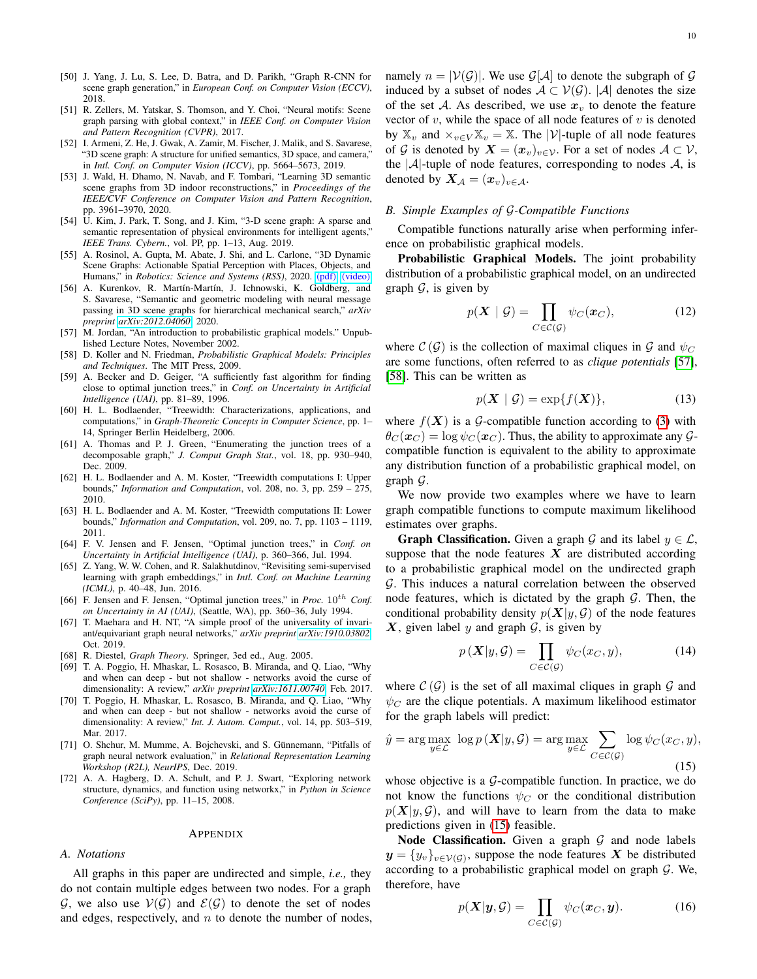- [50] J. Yang, J. Lu, S. Lee, D. Batra, and D. Parikh, "Graph R-CNN for scene graph generation," in *European Conf. on Computer Vision (ECCV)*, 2018.
- <span id="page-9-0"></span>[51] R. Zellers, M. Yatskar, S. Thomson, and Y. Choi, "Neural motifs: Scene graph parsing with global context," in *IEEE Conf. on Computer Vision and Pattern Recognition (CVPR)*, 2017.
- <span id="page-9-1"></span>[52] I. Armeni, Z. He, J. Gwak, A. Zamir, M. Fischer, J. Malik, and S. Savarese, "3D scene graph: A structure for unified semantics, 3D space, and camera," in *Intl. Conf. on Computer Vision (ICCV)*, pp. 5664–5673, 2019.
- <span id="page-9-2"></span>[53] J. Wald, H. Dhamo, N. Navab, and F. Tombari, "Learning 3D semantic scene graphs from 3D indoor reconstructions," in *Proceedings of the IEEE/CVF Conference on Computer Vision and Pattern Recognition*, pp. 3961–3970, 2020.
- <span id="page-9-3"></span>[54] U. Kim, J. Park, T. Song, and J. Kim, "3-D scene graph: A sparse and semantic representation of physical environments for intelligent agents," *IEEE Trans. Cybern.*, vol. PP, pp. 1–13, Aug. 2019.
- <span id="page-9-4"></span>[55] A. Rosinol, A. Gupta, M. Abate, J. Shi, and L. Carlone, "3D Dynamic Scene Graphs: Actionable Spatial Perception with Places, Objects, and Humans," in *Robotics: Science and Systems (RSS)*, 2020. [\(pdf\),](https://arxiv.org/pdf/2002.06289.pdf) [\(video\).](https://www.youtube.com/watch?v=SWbofjhyPzI&feature=youtu.be)
- <span id="page-9-5"></span>[56] A. Kurenkov, R. Martín-Martín, J. Ichnowski, K. Goldberg, and S. Savarese, "Semantic and geometric modeling with neural message passing in 3D scene graphs for hierarchical mechanical search," *arXiv preprint [arXiv:2012.04060](http://arxiv.org/abs/2012.04060)*, 2020.
- <span id="page-9-8"></span>[57] M. Jordan, "An introduction to probabilistic graphical models." Unpublished Lecture Notes, November 2002.
- <span id="page-9-9"></span>[58] D. Koller and N. Friedman, *Probabilistic Graphical Models: Principles and Techniques*. The MIT Press, 2009.
- <span id="page-9-10"></span>[59] A. Becker and D. Geiger, "A sufficiently fast algorithm for finding close to optimal junction trees," in *Conf. on Uncertainty in Artificial Intelligence (UAI)*, pp. 81–89, 1996.
- [60] H. L. Bodlaender, "Treewidth: Characterizations, applications, and computations," in *Graph-Theoretic Concepts in Computer Science*, pp. 1– 14, Springer Berlin Heidelberg, 2006.
- [61] A. Thomas and P. J. Green, "Enumerating the junction trees of a decomposable graph," *J. Comput Graph Stat.*, vol. 18, pp. 930–940, Dec. 2009.
- [62] H. L. Bodlaender and A. M. Koster, "Treewidth computations I: Upper bounds," *Information and Computation*, vol. 208, no. 3, pp. 259 – 275, 2010.
- <span id="page-9-11"></span>[63] H. L. Bodlaender and A. M. Koster, "Treewidth computations II: Lower bounds," *Information and Computation*, vol. 209, no. 7, pp. 1103 – 1119, 2011.
- <span id="page-9-12"></span>[64] F. V. Jensen and F. Jensen, "Optimal junction trees," in *Conf. on Uncertainty in Artificial Intelligence (UAI)*, p. 360–366, Jul. 1994.
- <span id="page-9-13"></span>[65] Z. Yang, W. W. Cohen, and R. Salakhutdinov, "Revisiting semi-supervised learning with graph embeddings," in *Intl. Conf. on Machine Learning (ICML)*, p. 40–48, Jun. 2016.
- <span id="page-9-15"></span>[66] F. Jensen and F. Jensen, "Optimal junction trees," in *Proc.*  $10^{th}$  *Conf. on Uncertainty in AI (UAI)*, (Seattle, WA), pp. 360–36, July 1994.
- <span id="page-9-16"></span>[67] T. Maehara and H. NT, "A simple proof of the universality of invariant/equivariant graph neural networks," *arXiv preprint [arXiv:1910.03802](http://arxiv.org/abs/1910.03802)*, Oct. 2019.
- <span id="page-9-17"></span>[68] R. Diestel, *Graph Theory*. Springer, 3ed ed., Aug. 2005.
- <span id="page-9-18"></span>[69] T. A. Poggio, H. Mhaskar, L. Rosasco, B. Miranda, and Q. Liao, "Why and when can deep - but not shallow - networks avoid the curse of dimensionality: A review," *arXiv preprint [arXiv:1611.00740](http://arxiv.org/abs/1611.00740)*, Feb. 2017.
- <span id="page-9-19"></span>[70] T. Poggio, H. Mhaskar, L. Rosasco, B. Miranda, and Q. Liao, "Why and when can deep - but not shallow - networks avoid the curse of dimensionality: A review," *Int. J. Autom. Comput.*, vol. 14, pp. 503–519, Mar. 2017.
- <span id="page-9-20"></span>[71] O. Shchur, M. Mumme, A. Bojchevski, and S. Günnemann, "Pitfalls of graph neural network evaluation," in *Relational Representation Learning Workshop (R2L), NeurIPS*, Dec. 2019.
- <span id="page-9-21"></span>[72] A. A. Hagberg, D. A. Schult, and P. J. Swart, "Exploring network structure, dynamics, and function using networkx," in *Python in Science Conference (SciPy)*, pp. 11–15, 2008.

#### APPENDIX

#### <span id="page-9-6"></span>*A. Notations*

All graphs in this paper are undirected and simple, *i.e.,* they do not contain multiple edges between two nodes. For a graph G, we also use  $V(G)$  and  $E(G)$  to denote the set of nodes and edges, respectively, and  $n$  to denote the number of nodes, namely  $n = |V(G)|$ . We use  $G[A]$  to denote the subgraph of G induced by a subset of nodes  $A \subset V(G)$ . |A| denotes the size of the set A. As described, we use  $x<sub>v</sub>$  to denote the feature vector of  $v$ , while the space of all node features of  $v$  is denoted by  $\mathbb{X}_v$  and  $\times_{v \in V} \mathbb{X}_v = \mathbb{X}$ . The |V|-tuple of all node features of G is denoted by  $X = (x_v)_{v \in \mathcal{V}}$ . For a set of nodes  $A \subset \mathcal{V}$ , the  $|A|$ -tuple of node features, corresponding to nodes A, is denoted by  $X_{\mathcal{A}} = (x_v)_{v \in \mathcal{A}}$ .

## <span id="page-9-7"></span>*B. Simple Examples of* G*-Compatible Functions*

Compatible functions naturally arise when performing inference on probabilistic graphical models.

Probabilistic Graphical Models. The joint probability distribution of a probabilistic graphical model, on an undirected graph  $G$ , is given by

$$
p(\boldsymbol{X} \mid \mathcal{G}) = \prod_{C \in \mathcal{C}(\mathcal{G})} \psi_C(\boldsymbol{x}_C), \tag{12}
$$

where  $\mathcal{C}(\mathcal{G})$  is the collection of maximal cliques in  $\mathcal{G}$  and  $\psi_C$ are some functions, often referred to as *clique potentials* [\[57\]](#page-9-8), [\[58\]](#page-9-9). This can be written as

$$
p(\mathbf{X} \mid \mathcal{G}) = \exp\{f(\mathbf{X})\},\tag{13}
$$

where  $f(X)$  is a G-compatible function according to [\(3\)](#page-2-5) with  $\theta_C(\mathbf{x}_C) = \log \psi_C(\mathbf{x}_C)$ . Thus, the ability to approximate any  $\mathcal{G}_\mathbf{x}$ compatible function is equivalent to the ability to approximate any distribution function of a probabilistic graphical model, on graph G.

We now provide two examples where we have to learn graph compatible functions to compute maximum likelihood estimates over graphs.

**Graph Classification.** Given a graph G and its label  $y \in \mathcal{L}$ , suppose that the node features  $X$  are distributed according to a probabilistic graphical model on the undirected graph G. This induces a natural correlation between the observed node features, which is dictated by the graph  $G$ . Then, the conditional probability density  $p(X|y, \mathcal{G})$  of the node features  $X$ , given label y and graph  $G$ , is given by

$$
p\left(\mathbf{X}|y,\mathcal{G}\right) = \prod_{C \in \mathcal{C}(\mathcal{G})} \psi_C(x_C, y),\tag{14}
$$

where  $\mathcal{C}(\mathcal{G})$  is the set of all maximal cliques in graph  $\mathcal{G}$  and  $\psi_C$  are the clique potentials. A maximum likelihood estimator for the graph labels will predict:

<span id="page-9-14"></span>
$$
\hat{y} = \arg \max_{y \in \mathcal{L}} \log p(\boldsymbol{X}|y, \mathcal{G}) = \arg \max_{y \in \mathcal{L}} \sum_{C \in \mathcal{C}(\mathcal{G})} \log \psi_C(x_C, y),
$$
\n(15)

whose objective is a  $G$ -compatible function. In practice, we do not know the functions  $\psi_C$  or the conditional distribution  $p(X|y, \mathcal{G})$ , and will have to learn from the data to make predictions given in [\(15\)](#page-9-14) feasible.

Node Classification. Given a graph  $G$  and node labels  $y = \{y_v\}_{v \in \mathcal{V}(\mathcal{G})}$ , suppose the node features X be distributed according to a probabilistic graphical model on graph  $G$ . We, therefore, have

$$
p(\mathbf{X}|\mathbf{y}, \mathcal{G}) = \prod_{C \in \mathcal{C}(\mathcal{G})} \psi_C(\mathbf{x}_C, \mathbf{y}).
$$
 (16)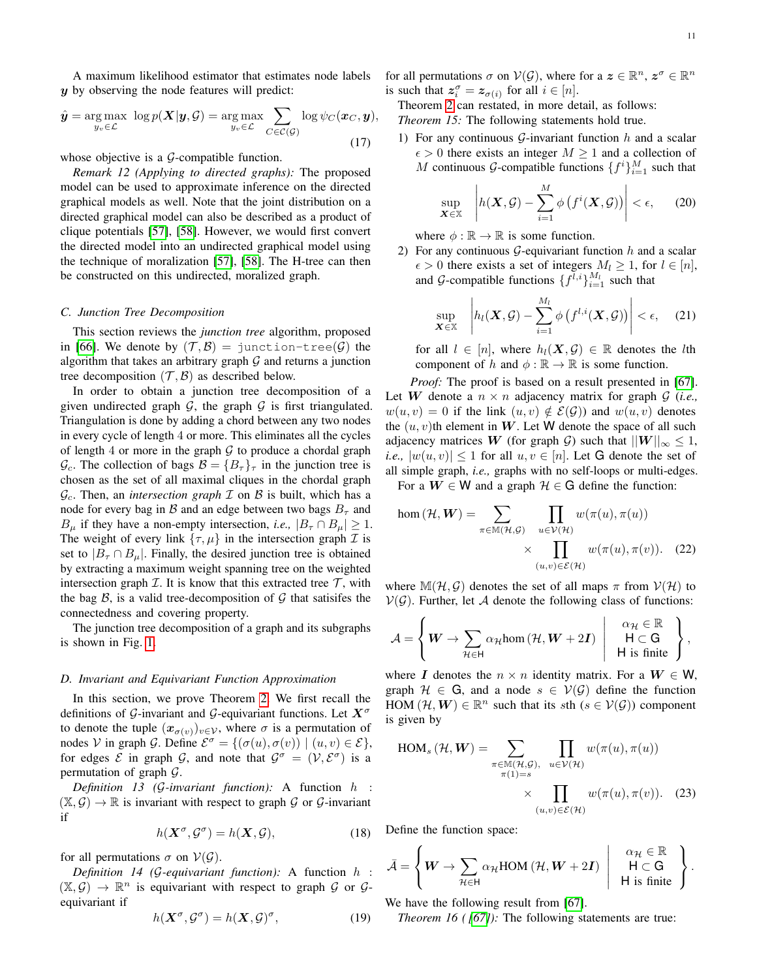A maximum likelihood estimator that estimates node labels y by observing the node features will predict:

$$
\hat{\boldsymbol{y}} = \underset{y_v \in \mathcal{L}}{\arg \max} \ \log p(\boldsymbol{X}|\boldsymbol{y}, \mathcal{G}) = \underset{y_v \in \mathcal{L}}{\arg \max} \sum_{C \in \mathcal{C}(\mathcal{G})} \log \psi_C(\boldsymbol{x}_C, \boldsymbol{y}),
$$
\n(17)

whose objective is a  $G$ -compatible function.

*Remark 12 (Applying to directed graphs):* The proposed model can be used to approximate inference on the directed graphical models as well. Note that the joint distribution on a directed graphical model can also be described as a product of clique potentials [\[57\]](#page-9-8), [\[58\]](#page-9-9). However, we would first convert the directed model into an undirected graphical model using the technique of moralization [\[57\]](#page-9-8), [\[58\]](#page-9-9). The H-tree can then be constructed on this undirected, moralized graph.

#### <span id="page-10-1"></span>*C. Junction Tree Decomposition*

This section reviews the *junction tree* algorithm, proposed in [\[66\]](#page-9-15). We denote by  $(\mathcal{T}, \mathcal{B}) =$  junction-tree( $\mathcal{G}$ ) the algorithm that takes an arbitrary graph  $G$  and returns a junction tree decomposition  $(\mathcal{T}, \mathcal{B})$  as described below.

In order to obtain a junction tree decomposition of a given undirected graph  $G$ , the graph  $G$  is first triangulated. Triangulation is done by adding a chord between any two nodes in every cycle of length 4 or more. This eliminates all the cycles of length 4 or more in the graph  $G$  to produce a chordal graph  $\mathcal{G}_c$ . The collection of bags  $\mathcal{B} = \{B_\tau\}_{\tau}$  in the junction tree is chosen as the set of all maximal cliques in the chordal graph  $\mathcal{G}_c$ . Then, an *intersection graph*  $\mathcal I$  on  $\mathcal B$  is built, which has a node for every bag in  $\beta$  and an edge between two bags  $B_{\tau}$  and  $B_{\mu}$  if they have a non-empty intersection, *i.e.*,  $|B_{\tau} \cap B_{\mu}| \geq 1$ . The weight of every link  $\{\tau, \mu\}$  in the intersection graph  $\mathcal I$  is set to  $|B_{\tau} \cap B_{\mu}|$ . Finally, the desired junction tree is obtained by extracting a maximum weight spanning tree on the weighted intersection graph  $\mathcal I$ . It is know that this extracted tree  $\mathcal T$ , with the bag  $\beta$ , is a valid tree-decomposition of  $\mathcal G$  that satisifes the connectedness and covering property.

The junction tree decomposition of a graph and its subgraphs is shown in Fig. [1.](#page-3-1)

#### <span id="page-10-0"></span>*D. Invariant and Equivariant Function Approximation*

In this section, we prove Theorem [2.](#page-2-6) We first recall the definitions of G-invariant and G-equivariant functions. Let  $X^{\sigma}$ to denote the tuple  $(x_{\sigma(v)})_{v\in\mathcal{V}}$ , where  $\sigma$  is a permutation of nodes V in graph G. Define  $\mathcal{E}^{\sigma} = \{(\sigma(u), \sigma(v)) \mid (u, v) \in \mathcal{E}\},\$ for edges  $\mathcal E$  in graph  $\mathcal G$ , and note that  $\mathcal G^{\sigma} = (\mathcal V, \mathcal E^{\sigma})$  is a permutation of graph  $\mathcal{G}$ .

*Definition 13 (*G*-invariant function):* A function h :  $(\mathbb{X}, \mathcal{G}) \to \mathbb{R}$  is invariant with respect to graph  $\mathcal{G}$  or  $\mathcal{G}$ -invariant if

$$
h(\mathbf{X}^{\sigma}, \mathcal{G}^{\sigma}) = h(\mathbf{X}, \mathcal{G}),\tag{18}
$$

for all permutations  $\sigma$  on  $V(G)$ .

*Definition 14 (*G*-equivariant function):* A function h :  $(\mathbb{X}, \mathcal{G}) \to \mathbb{R}^n$  is equivariant with respect to graph  $\mathcal{G}$  or  $\mathcal{G}$ equivariant if

$$
h(\mathbf{X}^{\sigma}, \mathcal{G}^{\sigma}) = h(\mathbf{X}, \mathcal{G})^{\sigma}, \tag{19}
$$

for all permutations  $\sigma$  on  $V(G)$ , where for a  $\mathbf{z} \in \mathbb{R}^n$ ,  $\mathbf{z}^{\sigma} \in \mathbb{R}^n$ is such that  $z_i^{\sigma} = z_{\sigma(i)}$  for all  $i \in [n]$ .

Theorem [2](#page-2-6) can restated, in more detail, as follows: *Theorem 15:* The following statements hold true.

1) For any continuous  $G$ -invariant function  $h$  and a scalar  $\epsilon > 0$  there exists an integer  $M \geq 1$  and a collection of M continuous G-compatible functions  $\{f^i\}_{i=1}^M$  such that

<span id="page-10-3"></span>
$$
\sup_{\mathbf{X}\in\mathbb{X}}\left|h(\mathbf{X},\mathcal{G})-\sum_{i=1}^M\phi\left(f^i(\mathbf{X},\mathcal{G})\right)\right|<\epsilon,\qquad(20)
$$

where  $\phi : \mathbb{R} \to \mathbb{R}$  is some function.

2) For any continuous  $G$ -equivariant function  $h$  and a scalar  $\epsilon > 0$  there exists a set of integers  $M_l \geq 1$ , for  $l \in [n]$ , and G-compatible functions  $\{f^{\bar{l},i}\}_{i=1}^{M_l}$  such that

$$
\sup_{\mathbf{X}\in\mathbb{X}}\left|h_l(\mathbf{X},\mathcal{G})-\sum_{i=1}^{M_l}\phi\left(f^{l,i}(\mathbf{X},\mathcal{G})\right)\right|<\epsilon,\quad(21)
$$

for all  $l \in [n]$ , where  $h_l(X, \mathcal{G}) \in \mathbb{R}$  denotes the *l*th component of h and  $\phi : \mathbb{R} \to \mathbb{R}$  is some function.

*Proof:* The proof is based on a result presented in [\[67\]](#page-9-16). Let W denote a  $n \times n$  adjacency matrix for graph  $G$  (*i.e.*,  $w(u, v) = 0$  if the link  $(u, v) \notin \mathcal{E}(\mathcal{G})$  and  $w(u, v)$  denotes the  $(u, v)$ th element in W. Let W denote the space of all such adjacency matrices W (for graph G) such that  $||W||_{\infty} \leq 1$ , *i.e.*,  $|w(u, v)| \leq 1$  for all  $u, v \in [n]$ . Let G denote the set of all simple graph, *i.e.,* graphs with no self-loops or multi-edges.

For a  $W \in W$  and a graph  $\mathcal{H} \in G$  define the function:

<span id="page-10-4"></span>hom 
$$
(\mathcal{H}, \mathbf{W}) = \sum_{\pi \in \mathbb{M}(\mathcal{H}, \mathcal{G})} \prod_{u \in \mathcal{V}(\mathcal{H})} w(\pi(u), \pi(u)) \times \prod_{(u,v) \in \mathcal{E}(\mathcal{H})} w(\pi(u), \pi(v)).
$$
 (22)

where  $\mathbb{M}(\mathcal{H}, \mathcal{G})$  denotes the set of all maps  $\pi$  from  $\mathcal{V}(\mathcal{H})$  to  $V(G)$ . Further, let A denote the following class of functions:

$$
\mathcal{A} = \left\{ \boldsymbol{W} \rightarrow \sum_{\mathcal{H} \in \mathsf{H}} \alpha_{\mathcal{H}} \text{hom} \left( \mathcal{H}, \boldsymbol{W} + 2\boldsymbol{I} \right) \left| \begin{array}{c} \alpha_{\mathcal{H}} \in \mathbb{R} \\ \mathsf{H} \subset \mathsf{G} \\ \mathsf{H} \text{ is finite} \end{array} \right. \right\},
$$

where I denotes the  $n \times n$  identity matrix. For a  $W \in W$ , graph  $\mathcal{H} \in \mathbb{G}$ , and a node  $s \in \mathcal{V}(\mathcal{G})$  define the function  $\widetilde{HOM}(\mathcal{H}, \mathcal{W}) \in \mathbb{R}^n$  such that its sth  $(s \in \mathcal{V}(\mathcal{G}))$  component is given by

$$
HOM_s (\mathcal{H}, \mathbf{W}) = \sum_{\substack{\pi \in \mathbb{M}(\mathcal{H}, \mathcal{G}), \\ \pi(1) = s}} \prod_{u \in \mathcal{V}(\mathcal{H})} w(\pi(u), \pi(u))
$$

$$
\times \prod_{(u,v) \in \mathcal{E}(\mathcal{H})} w(\pi(u), \pi(v)). \quad (23)
$$

Define the function space:

<span id="page-10-5"></span>
$$
\bar{\mathcal{A}} = \left\{ \boldsymbol{W} \rightarrow \sum_{\mathcal{H} \in \mathsf{H}} \alpha_{\mathcal{H}} \text{HOM} \left( \mathcal{H}, \boldsymbol{W} + 2\boldsymbol{I} \right) \left| \begin{array}{c} \alpha_{\mathcal{H}} \in \mathbb{R} \\ \mathsf{H} \subset \mathsf{G} \\ \mathsf{H} \text{ is finite} \end{array} \right. \right\}.
$$

We have the following result from [\[67\]](#page-9-16).

<span id="page-10-2"></span>*Theorem 16 ( [\[67\]](#page-9-16)*): The following statements are true: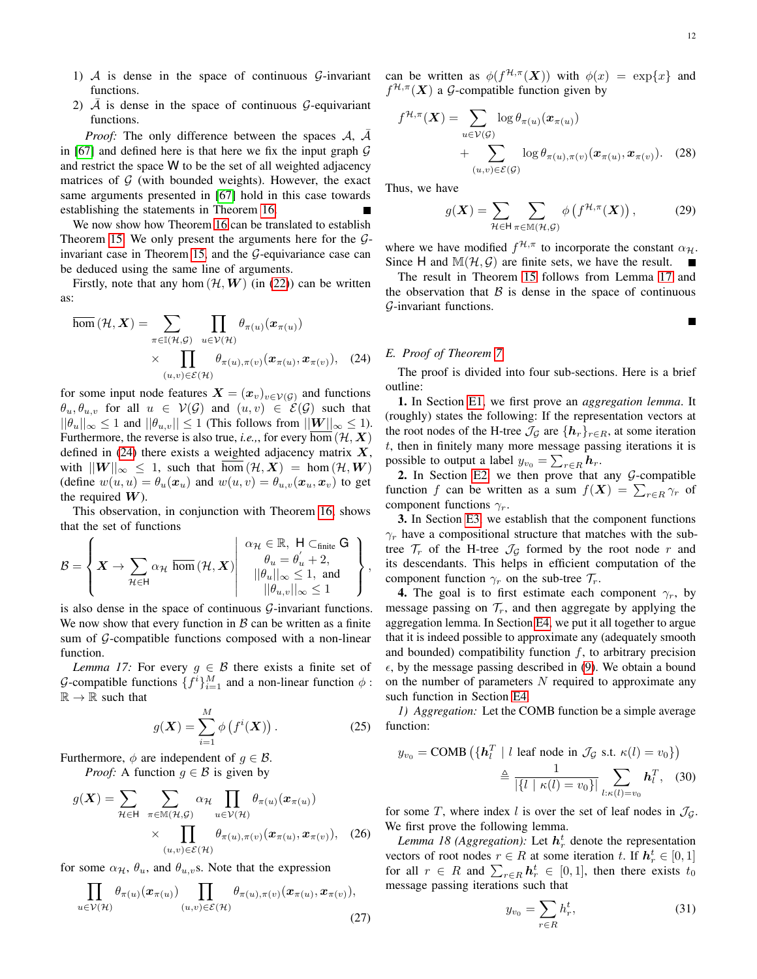П

- 1)  $\mathcal A$  is dense in the space of continuous  $\mathcal G$ -invariant functions.
- 2)  $\overline{A}$  is dense in the space of continuous  $\mathcal{G}$ -equivariant functions.

*Proof:* The only difference between the spaces  $A$ ,  $A$ in [\[67\]](#page-9-16) and defined here is that here we fix the input graph  $G$ and restrict the space W to be the set of all weighted adjacency matrices of  $G$  (with bounded weights). However, the exact same arguments presented in [\[67\]](#page-9-16) hold in this case towards establishing the statements in Theorem [16.](#page-10-2)

We now show how Theorem [16](#page-10-2) can be translated to establish Theorem [15.](#page-10-3) We only present the arguments here for the  $G$ -invariant case in Theorem [15,](#page-10-3) and the  $G$ -equivariance case can be deduced using the same line of arguments.

Firstly, note that any hom  $(\mathcal{H}, \mathbf{W})$  (in [\(22\)](#page-10-4)) can be written as:

$$
\overline{\text{hom}}(\mathcal{H}, \mathbf{X}) = \sum_{\pi \in \mathbb{I}(\mathcal{H}, \mathcal{G})} \prod_{u \in \mathcal{V}(\mathcal{H})} \theta_{\pi(u)}(x_{\pi(u)})
$$

$$
\times \prod_{(u,v) \in \mathcal{E}(\mathcal{H})} \theta_{\pi(u), \pi(v)}(x_{\pi(u)}, x_{\pi(v)}), \quad (24)
$$

for some input node features  $\mathbf{X} = (\mathbf{x}_v)_{v \in \mathcal{V}(\mathcal{G})}$  and functions  $\theta_u, \theta_{u,v}$  for all  $u \in V(G)$  and  $(u,v) \in \mathcal{E}(G)$  such that  $||\theta_u||_{\infty} \leq 1$  and  $||\theta_{u,v}|| \leq 1$  (This follows from  $||W||_{\infty} \leq 1$ ). Furthermore, the reverse is also true, *i.e.*,, for every hom  $(\mathcal{H}, \mathbf{X})$ defined in [\(24\)](#page-10-5) there exists a weighted adjacency matrix  $X$ , with  $||W||_{\infty} \leq 1$ , such that  $\overline{\text{hom}}(\mathcal{H}, X) = \text{hom}(\mathcal{H}, W)$ (define  $w(u, u) = \theta_u(\boldsymbol{x}_u)$  and  $w(u, v) = \theta_{u,v}(\boldsymbol{x}_u, \boldsymbol{x}_v)$  to get the required  $W$ ).

This observation, in conjunction with Theorem [16,](#page-10-2) shows that the set of functions

$$
\mathcal{B} = \left\{ \boldsymbol{X} \rightarrow \sum_{\mathcal{H} \in \mathsf{H}} \alpha_{\mathcal{H}} \, \overline{\text{hom}}\left(\mathcal{H}, \boldsymbol{X}\right) \middle| \begin{array}{c} \alpha_{\mathcal{H}} \in \mathbb{R}, \, \mathsf{H} \subset_{\text{finite}} \mathsf{G} \\ \theta_{u} = \theta_{u}^{\prime} + 2, \\ ||\theta_{u}||_{\infty} \leq 1, \text{ and } \\ ||\theta_{u,v}||_{\infty} \leq 1 \end{array} \right\},
$$

is also dense in the space of continuous  $\mathcal{G}$ -invariant functions. We now show that every function in  $\beta$  can be written as a finite sum of  $G$ -compatible functions composed with a non-linear function.

<span id="page-11-1"></span>*Lemma 17:* For every  $g \in \mathcal{B}$  there exists a finite set of G-compatible functions  $\{f^i\}_{i=1}^M$  and a non-linear function  $\phi$ :  $\mathbb{R} \to \mathbb{R}$  such that

$$
g(\mathbf{X}) = \sum_{i=1}^{M} \phi\left(f^{i}(\mathbf{X})\right). \tag{25}
$$

Furthermore,  $\phi$  are independent of  $g \in \mathcal{B}$ . *Proof:* A function  $g \in \mathcal{B}$  is given by

$$
g(\boldsymbol{X}) = \sum_{\mathcal{H} \in \mathsf{H}} \sum_{\pi \in \mathbb{M}(\mathcal{H}, \mathcal{G})} \alpha_{\mathcal{H}} \prod_{u \in \mathcal{V}(\mathcal{H})} \theta_{\pi(u)}(\boldsymbol{x}_{\pi(u)})
$$

$$
\times \prod_{(u,v) \in \mathcal{E}(\mathcal{H})} \theta_{\pi(u), \pi(v)}(\boldsymbol{x}_{\pi(u)}, \boldsymbol{x}_{\pi(v)}), \quad (26)
$$

for some  $\alpha_{\mathcal{H}}, \theta_u$ , and  $\theta_{u,v}$ s. Note that the expression

$$
\prod_{u \in \mathcal{V}(\mathcal{H})} \theta_{\pi(u)}(x_{\pi(u)}) \prod_{(u,v) \in \mathcal{E}(\mathcal{H})} \theta_{\pi(u),\pi(v)}(x_{\pi(u)},x_{\pi(v)}),
$$
\n(27)

can be written as  $\phi(f^{\mathcal{H}, \pi}(\boldsymbol{X}))$  with  $\phi(x) = \exp\{x\}$  and  $f^{\mathcal{H},\pi}(\boldsymbol{X})$  a G-compatible function given by

$$
f^{\mathcal{H},\pi}(\boldsymbol{X}) = \sum_{u \in \mathcal{V}(\mathcal{G})} \log \theta_{\pi(u)}(\boldsymbol{x}_{\pi(u)}) + \sum_{(u,v) \in \mathcal{E}(\mathcal{G})} \log \theta_{\pi(u),\pi(v)}(\boldsymbol{x}_{\pi(u)},\boldsymbol{x}_{\pi(v)})
$$
 (28)

Thus, we have

$$
g(\mathbf{X}) = \sum_{\mathcal{H} \in \mathsf{H}} \sum_{\pi \in \mathbb{M}(\mathcal{H}, \mathcal{G})} \phi\left(f^{\mathcal{H}, \pi}(\mathbf{X})\right),\tag{29}
$$

where we have modified  $f^{\mathcal{H}, \pi}$  to incorporate the constant  $\alpha_{\mathcal{H}}$ . Since H and  $\mathbb{M}(\mathcal{H}, \mathcal{G})$  are finite sets, we have the result.

The result in Theorem [15](#page-10-3) follows from Lemma [17](#page-11-1) and the observation that  $\beta$  is dense in the space of continuous G-invariant functions.

## <span id="page-11-0"></span>*E. Proof of Theorem [7](#page-4-6)*

The proof is divided into four sub-sections. Here is a brief outline:

1. In Section [E1,](#page-11-2) we first prove an *aggregation lemma*. It (roughly) states the following: If the representation vectors at the root nodes of the H-tree  $\mathcal{J}_{\mathcal{G}}$  are  $\{h_r\}_{r \in R}$ , at some iteration  $t$ , then in finitely many more message passing iterations it is possible to output a label  $y_{v_0} = \sum_{r \in R} h_r$ .

2. In Section [E2,](#page-12-0) we then prove that any  $G$ -compatible function f can be written as a sum  $f(X) = \sum_{r \in R} \gamma_r$  of component functions  $\gamma_r$ .

3. In Section [E3,](#page-13-0) we establish that the component functions  $\gamma_r$  have a compositional structure that matches with the subtree  $\mathcal{T}_r$  of the H-tree  $\mathcal{J}_\mathcal{G}$  formed by the root node r and its descendants. This helps in efficient computation of the component function  $\gamma_r$  on the sub-tree  $\mathcal{T}_r$ .

4. The goal is to first estimate each component  $\gamma_r$ , by message passing on  $\mathcal{T}_r$ , and then aggregate by applying the aggregation lemma. In Section [E4,](#page-13-1) we put it all together to argue that it is indeed possible to approximate any (adequately smooth and bounded) compatibility function  $f$ , to arbitrary precision  $\epsilon$ , by the message passing described in [\(9\)](#page-4-5). We obtain a bound on the number of parameters  $N$  required to approximate any such function in Section [E4.](#page-13-1)

<span id="page-11-2"></span>*1) Aggregation:* Let the COMB function be a simple average function:

$$
y_{v_0} = \text{COMB} \left( \{ \mathbf{h}_l^T \mid l \text{ leaf node in } \mathcal{J}_\mathcal{G} \text{ s.t. } \kappa(l) = v_0 \} \right)
$$

$$
\triangleq \frac{1}{\left| \{ l \mid \kappa(l) = v_0 \} \right|} \sum_{l:\kappa(l) = v_0} \mathbf{h}_l^T, \quad (30)
$$

for some T, where index l is over the set of leaf nodes in  $\mathcal{J}_G$ . We first prove the following lemma.

*Lemma 18 (Aggregation):* Let  $h_r^t$  denote the representation vectors of root nodes  $r \in R$  at some iteration t. If  $h_r^t \in [0, 1]$ for all  $r \in R$  and  $\sum_{r \in R} h_r^t \in [0,1]$ , then there exists  $t_0$ message passing iterations such that

<span id="page-11-4"></span><span id="page-11-3"></span>
$$
y_{v_0} = \sum_{r \in R} h_r^t,\tag{31}
$$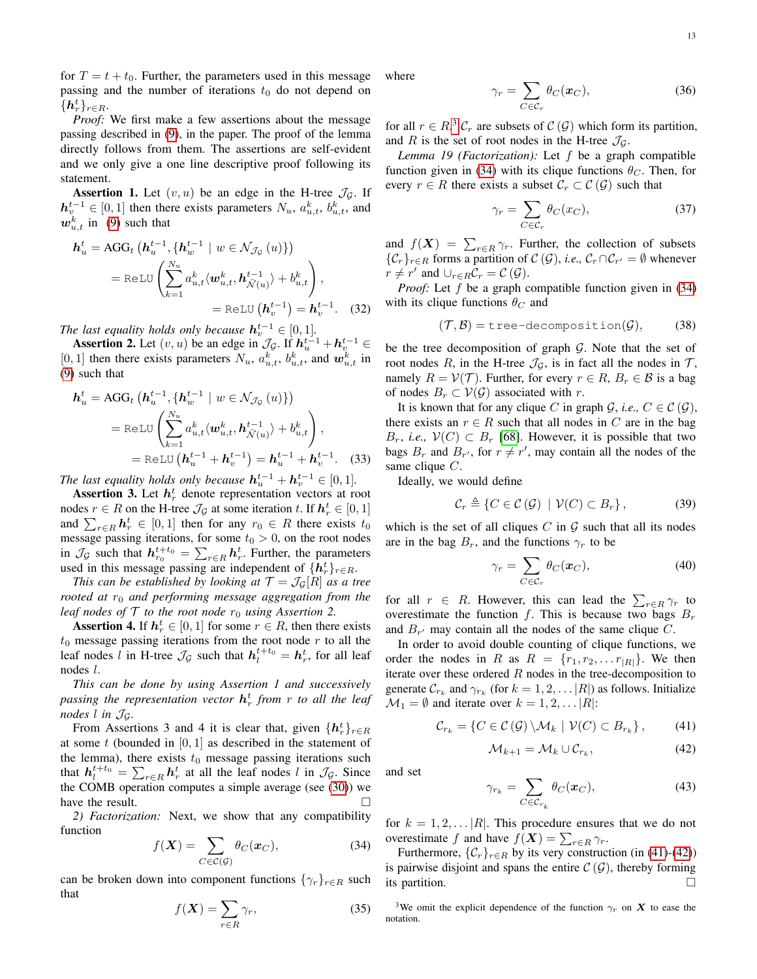for  $T = t + t_0$ . Further, the parameters used in this message passing and the number of iterations  $t_0$  do not depend on  $\{\boldsymbol{h}_r^t\}_{r\in R}.$ 

*Proof:* We first make a few assertions about the message passing described in [\(9\)](#page-4-5), in the paper. The proof of the lemma directly follows from them. The assertions are self-evident and we only give a one line descriptive proof following its statement.

**Assertion 1.** Let  $(v, u)$  be an edge in the H-tree  $\mathcal{J}_G$ . If  $h_v^{t-1} \in [0,1]$  then there exists parameters  $N_u$ ,  $a_{u,t}^k$ ,  $b_{u,t}^k$ , and  $w_{u,t}^k$  in [\(9\)](#page-4-5) such that

$$
\mathbf{h}_{u}^{t} = \text{AGG}_{t} \left( \mathbf{h}_{u}^{t-1}, \{ \mathbf{h}_{w}^{t-1} \mid w \in \mathcal{N}_{\mathcal{J}_{\mathcal{G}}}(u) \} \right)
$$
\n
$$
= \text{ReLU} \left( \sum_{k=1}^{N_{u}} a_{u,t}^{k} \langle \mathbf{w}_{u,t}^{k}, \mathbf{h}_{\mathcal{N}(u)}^{t-1} \rangle + b_{u,t}^{k} \right),
$$
\n
$$
= \text{ReLU} \left( \mathbf{h}_{v}^{t-1} \right) = \mathbf{h}_{v}^{t-1}. \quad (32)
$$

*The last equality holds only because*  $h_v^{t-1} \in [0,1]$ *.* 

Assertion 2. Let  $(v, u)$  be an edge in  $\mathcal{J}_{\mathcal{G}}$ . If  $h_u^{t-1} + h_v^{t-1} \in$ [0, 1] then there exists parameters  $N_u$ ,  $a_{u,t}^k$ ,  $b_{u,t}^k$ , and  $w_{u,t}^k$  in [\(9\)](#page-4-5) such that

$$
\begin{split} \boldsymbol{h}_{u}^{t} &= \text{AGG}_{t} \left( \boldsymbol{h}_{u}^{t-1}, \{ \boldsymbol{h}_{w}^{t-1} \mid w \in \mathcal{N}_{\mathcal{J}_{\mathcal{G}}}(u) \} \right) \\ &= \text{ReLU} \left( \sum_{k=1}^{N_{u}} a_{u,t}^{k} \langle \boldsymbol{w}_{u,t}^{k}, \boldsymbol{h}_{\mathcal{N}(u)}^{t-1} \rangle + b_{u,t}^{k} \right), \\ &= \text{ReLU} \left( \boldsymbol{h}_{u}^{t-1} + \boldsymbol{h}_{v}^{t-1} \right) = \boldsymbol{h}_{u}^{t-1} + \boldsymbol{h}_{v}^{t-1}. \end{split} \tag{33}
$$

*The last equality holds only because*  $h_u^{t-1} + h_v^{t-1} \in [0,1]$ *.* 

**Assertion 3.** Let  $h_r^t$  denote representation vectors at root nodes  $r \in R$  on the H-tree  $\mathcal{J}_{\mathcal{G}}$  at some iteration t. If  $\mathbf{h}_{r}^{t} \in [0, 1]$ and  $\sum_{r \in R} h_r^t \in [0, 1]$  then for any  $r_0 \in R$  there exists  $t_0$ message passing iterations, for some  $t_0 > 0$ , on the root nodes in  $\mathcal{J}_{\mathcal{G}}$  such that  $h_{r_0}^{t+t_0} = \sum_{r \in R} h_r^t$ . Further, the parameters used in this message passing are independent of  $\{h_r^t\}_{r \in R}$ .

*This can be established by looking at*  $\mathcal{T} = \mathcal{J}_{\mathcal{G}}[R]$  *as a tree rooted at*  $r_0$  *and performing message aggregation from the leaf nodes of*  $\mathcal T$  *to the root node*  $r_0$  *using Assertion 2.* 

**Assertion 4.** If  $h_r^t \in [0, 1]$  for some  $r \in R$ , then there exists  $t_0$  message passing iterations from the root node  $r$  to all the leaf nodes l in H-tree  $\mathcal{J}_{\mathcal{G}}$  such that  $h_l^{t+t_0} = h_r^t$ , for all leaf nodes l.

*This can be done by using Assertion 1 and successively passing the representation vector* h t r *from* r *to all the leaf nodes*  $l$  *in*  $\mathcal{J}_G$ *.* 

From Assertions 3 and 4 it is clear that, given  $\{h_r^t\}_{r \in R}$ at some t (bounded in  $[0, 1]$  as described in the statement of the lemma), there exists  $t_0$  message passing iterations such that  $h_l^{t+t_0} = \sum_{r \in R} h_r^t$  at all the leaf nodes l in  $\mathcal{J}_{\mathcal{G}}$ . Since the COMB operation computes a simple average (see [\(30\)](#page-11-3)) we have the result.

<span id="page-12-0"></span>*2) Factorization:* Next, we show that any compatibility function

<span id="page-12-2"></span>
$$
f(\mathbf{X}) = \sum_{C \in \mathcal{C}(\mathcal{G})} \theta_C(\mathbf{x}_C),\tag{34}
$$

can be broken down into component functions  $\{\gamma_r\}_{r \in R}$  such that

$$
f(\boldsymbol{X}) = \sum_{r \in R} \gamma_r,\tag{35}
$$

where

<span id="page-12-5"></span>
$$
\gamma_r = \sum_{C \in \mathcal{C}_r} \theta_C(\boldsymbol{x}_C),\tag{36}
$$

for all  $r \in R$ ,<sup>[3](#page-12-1)</sup>  $C_r$  are subsets of  $C(G)$  which form its partition, and R is the set of root nodes in the H-tree  $\mathcal{J}_G$ .

*Lemma 19 (Factorization):* Let f be a graph compatible function given in [\(34\)](#page-12-2) with its clique functions  $\theta_C$ . Then, for every  $r \in R$  there exists a subset  $\mathcal{C}_r \subset \mathcal{C}(\mathcal{G})$  such that

$$
\gamma_r = \sum_{C \in \mathcal{C}_r} \theta_C(x_C),\tag{37}
$$

and  $f(X) = \sum_{r \in R} \gamma_r$ . Further, the collection of subsets  $\{C_r\}_{r \in R}$  forms a partition of  $C(G)$ , *i.e.*,  $C_r \cap C_{r'} = \emptyset$  whenever  $r \neq r'$  and  $\cup_{r \in R} C_r = C(\mathcal{G})$ .

*Proof:* Let f be a graph compatible function given in [\(34\)](#page-12-2) with its clique functions  $\theta_C$  and

$$
(\mathcal{T}, \mathcal{B}) = \text{tree-decomposition}(\mathcal{G}), \qquad (38)
$$

be the tree decomposition of graph  $G$ . Note that the set of root nodes R, in the H-tree  $\mathcal{J}_\mathcal{G}$ , is in fact all the nodes in  $\mathcal{T}$ , namely  $R = V(\mathcal{T})$ . Further, for every  $r \in R$ ,  $B_r \in \mathcal{B}$  is a bag of nodes  $B_r \subset V(G)$  associated with r.

It is known that for any clique C in graph  $\mathcal{G}$ , *i.e.*,  $C \in \mathcal{C}(\mathcal{G})$ , there exists an  $r \in R$  such that all nodes in C are in the bag  $B_r$ , *i.e.*,  $V(C) \subset B_r$  [\[68\]](#page-9-17). However, it is possible that two bags  $B_r$  and  $B_{r'}$ , for  $r \neq r'$ , may contain all the nodes of the same clique C.

Ideally, we would define

$$
\mathcal{C}_r \triangleq \{ C \in \mathcal{C}(\mathcal{G}) \mid \mathcal{V}(C) \subset B_r \},\tag{39}
$$

which is the set of all cliques  $C$  in  $G$  such that all its nodes are in the bag  $B_r$ , and the functions  $\gamma_r$  to be

$$
\gamma_r = \sum_{C \in \mathcal{C}_r} \theta_C(\boldsymbol{x}_C),\tag{40}
$$

for all  $r \in R$ . However, this can lead the  $\sum_{r \in R} \gamma_r$  to overestimate the function f. This is because two bags  $B_r$ and  $B_{r'}$  may contain all the nodes of the same clique C.

In order to avoid double counting of clique functions, we order the nodes in R as  $R = \{r_1, r_2, \dots r_{|R|}\}\.$  We then iterate over these ordered  $R$  nodes in the tree-decomposition to generate  $\mathcal{C}_{r_k}$  and  $\gamma_{r_k}$  (for  $k = 1, 2, \dots |R|$ ) as follows. Initialize  $\mathcal{M}_1 = \emptyset$  and iterate over  $k = 1, 2, \dots |R|$ :

<span id="page-12-3"></span>
$$
\mathcal{C}_{r_k} = \{ C \in \mathcal{C}(\mathcal{G}) \setminus \mathcal{M}_k \mid \mathcal{V}(C) \subset B_{r_k} \},\qquad(41)
$$

<span id="page-12-4"></span>
$$
\mathcal{M}_{k+1} = \mathcal{M}_k \cup \mathcal{C}_{r_k},\tag{42}
$$

and set

$$
\gamma_{r_k} = \sum_{C \in \mathcal{C}_{r_k}} \theta_C(\boldsymbol{x}_C),\tag{43}
$$

for  $k = 1, 2, \ldots |R|$ . This procedure ensures that we do not overestimate f and have  $f(\mathbf{X}) = \sum_{r \in R} \gamma_r$ .

Furthermore,  $\{C_r\}_{r \in R}$  by its very construction (in [\(41\)](#page-12-3)-[\(42\)](#page-12-4)) is pairwise disjoint and spans the entire  $\mathcal{C}(\mathcal{G})$ , thereby forming its partition.  $\Box$ 

<span id="page-12-1"></span><sup>3</sup>We omit the explicit dependence of the function  $\gamma_r$  on X to ease the notation.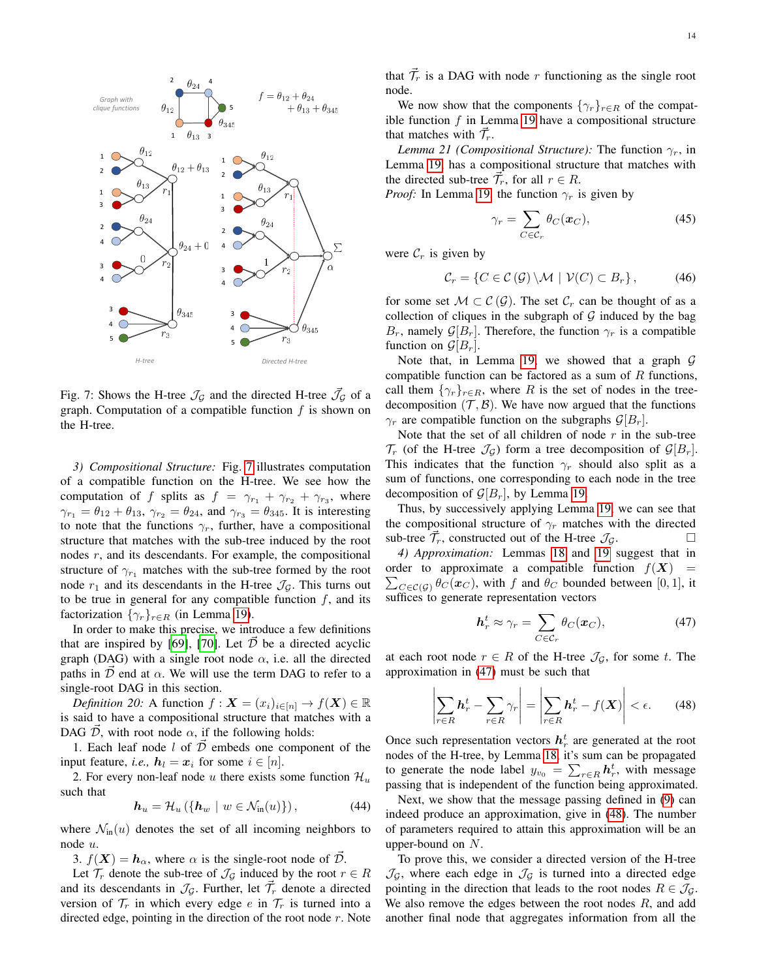<span id="page-13-2"></span>

Fig. 7: Shows the H-tree  $\mathcal{J}_{\mathcal{G}}$  and the directed H-tree  $\mathcal{J}_{\mathcal{G}}$  of a graph. Computation of a compatible function  $f$  is shown on the H-tree.

<span id="page-13-0"></span>*3) Compositional Structure:* Fig. [7](#page-13-2) illustrates computation of a compatible function on the H-tree. We see how the computation of f splits as  $f = \gamma_{r_1} + \gamma_{r_2} + \gamma_{r_3}$ , where  $\gamma_{r_1} = \theta_{12} + \theta_{13}$ ,  $\gamma_{r_2} = \theta_{24}$ , and  $\gamma_{r_3} = \theta_{345}$ . It is interesting to note that the functions  $\gamma_r$ , further, have a compositional structure that matches with the sub-tree induced by the root nodes r, and its descendants. For example, the compositional structure of  $\gamma_{r_1}$  matches with the sub-tree formed by the root node  $r_1$  and its descendants in the H-tree  $\mathcal{J}_G$ . This turns out to be true in general for any compatible function  $f$ , and its factorization  $\{\gamma_r\}_{r \in R}$  (in Lemma [19\)](#page-12-5).

In order to make this precise, we introduce a few definitions that are inspired by [\[69\]](#page-9-18), [\[70\]](#page-9-19). Let  $\overline{D}$  be a directed acyclic graph (DAG) with a single root node  $\alpha$ , i.e. all the directed paths in  $\overline{D}$  end at  $\alpha$ . We will use the term DAG to refer to a single-root DAG in this section.

*Definition 20:* A function  $f: \mathbf{X} = (x_i)_{i \in [n]} \to f(\mathbf{X}) \in \mathbb{R}$ is said to have a compositional structure that matches with a DAG D, with root node  $\alpha$ , if the following holds:

1. Each leaf node l of  $\overrightarrow{D}$  embeds one component of the input feature, *i.e.*,  $h_l = x_i$  for some  $i \in [n]$ .

2. For every non-leaf node u there exists some function  $\mathcal{H}_u$ such that

<span id="page-13-5"></span>
$$
\boldsymbol{h}_u = \mathcal{H}_u \left( \{ \boldsymbol{h}_w \mid w \in \mathcal{N}_{\text{in}}(u) \} \right), \tag{44}
$$

where  $\mathcal{N}_{\text{in}}(u)$  denotes the set of all incoming neighbors to node u.

3.  $f(X) = h_{\alpha}$ , where  $\alpha$  is the single-root node of  $\mathcal{D}$ .

Let  $\mathcal{T}_r$  denote the sub-tree of  $\mathcal{J}_\mathcal{G}$  induced by the root  $r \in R$ and its descendants in  $\mathcal{J}_G$ . Further, let  $\vec{\mathcal{T}}_r$  denote a directed version of  $\mathcal{T}_r$  in which every edge e in  $\mathcal{T}_r$  is turned into a directed edge, pointing in the direction of the root node  $r$ . Note

that  $\vec{\mathcal{T}}_r$  is a DAG with node r functioning as the single root node.

We now show that the components  $\{\gamma_r\}_{r \in R}$  of the compatible function  $f$  in Lemma [19](#page-12-5) have a compositional structure that matches with  $\vec{\mathcal{T}}_r$ .

*Lemma 21 (Compositional Structure):* The function  $\gamma_r$ , in Lemma [19,](#page-12-5) has a compositional structure that matches with the directed sub-tree  $\vec{\mathcal{T}}_r$ , for all  $r \in R$ .

*Proof:* In Lemma [19,](#page-12-5) the function  $\gamma_r$  is given by

<span id="page-13-6"></span>
$$
\gamma_r = \sum_{C \in \mathcal{C}_r} \theta_C(\boldsymbol{x}_C),\tag{45}
$$

were  $\mathcal{C}_r$  is given by

$$
\mathcal{C}_r = \{ C \in \mathcal{C}(\mathcal{G}) \setminus \mathcal{M} \mid \mathcal{V}(C) \subset B_r \},\tag{46}
$$

for some set  $M \subset \mathcal{C}(\mathcal{G})$ . The set  $\mathcal{C}_r$  can be thought of as a collection of cliques in the subgraph of  $G$  induced by the bag  $B_r$ , namely  $\mathcal{G}[B_r]$ . Therefore, the function  $\gamma_r$  is a compatible function on  $\mathcal{G}[B_r]$ .

Note that, in Lemma [19,](#page-12-5) we showed that a graph  $G$ compatible function can be factored as a sum of  $R$  functions, call them  $\{\gamma_r\}_{r \in R}$ , where R is the set of nodes in the treedecomposition  $(\mathcal{T}, \mathcal{B})$ . We have now argued that the functions  $\gamma_r$  are compatible function on the subgraphs  $\mathcal{G}[B_r]$ .

Note that the set of all children of node  $r$  in the sub-tree  $\mathcal{T}_r$  (of the H-tree  $\mathcal{J}_\mathcal{G}$ ) form a tree decomposition of  $\mathcal{G}[B_r]$ . This indicates that the function  $\gamma_r$  should also split as a sum of functions, one corresponding to each node in the tree decomposition of  $\mathcal{G}[B_r]$ , by Lemma [19.](#page-12-5)

Thus, by successively applying Lemma [19,](#page-12-5) we can see that the compositional structure of  $\gamma_r$  matches with the directed sub-tree  $\vec{\mathcal{T}}_r$ , constructed out of the H-tree  $\mathcal{J}_\mathcal{G}$ .

<span id="page-13-1"></span>*4) Approximation:* Lemmas [18](#page-11-4) and [19](#page-12-5) suggest that in order to approximate a compatible function  $f(X)$  =  $\sum_{C \in \mathcal{C}(\mathcal{G})} \theta_C(\boldsymbol{x}_C)$ , with f and  $\theta_C$  bounded between [0, 1], it suffices to generate representation vectors

<span id="page-13-3"></span>
$$
\boldsymbol{h}_r^t \approx \gamma_r = \sum_{C \in \mathcal{C}_r} \theta_C(\boldsymbol{x}_C),\tag{47}
$$

at each root node  $r \in R$  of the H-tree  $\mathcal{J}_{\mathcal{G}}$ , for some t. The approximation in [\(47\)](#page-13-3) must be such that

<span id="page-13-4"></span>
$$
\left|\sum_{r\in R} \mathbf{h}_r^t - \sum_{r\in R} \gamma_r \right| = \left|\sum_{r\in R} \mathbf{h}_r^t - f(\mathbf{X})\right| < \epsilon. \tag{48}
$$

Once such representation vectors  $h_r^t$  are generated at the root nodes of the H-tree, by Lemma [18,](#page-11-4) it's sum can be propagated to generate the node label  $y_{v_0} = \sum_{r \in R} h_r^t$ , with message passing that is independent of the function being approximated.

Next, we show that the message passing defined in [\(9\)](#page-4-5) can indeed produce an approximation, give in [\(48\)](#page-13-4). The number of parameters required to attain this approximation will be an upper-bound on  $N$ .

To prove this, we consider a directed version of the H-tree  $\mathcal{J}_\mathcal{G}$ , where each edge in  $\mathcal{J}_\mathcal{G}$  is turned into a directed edge pointing in the direction that leads to the root nodes  $R \in \mathcal{J}_\mathcal{G}$ . We also remove the edges between the root nodes  $R$ , and add another final node that aggregates information from all the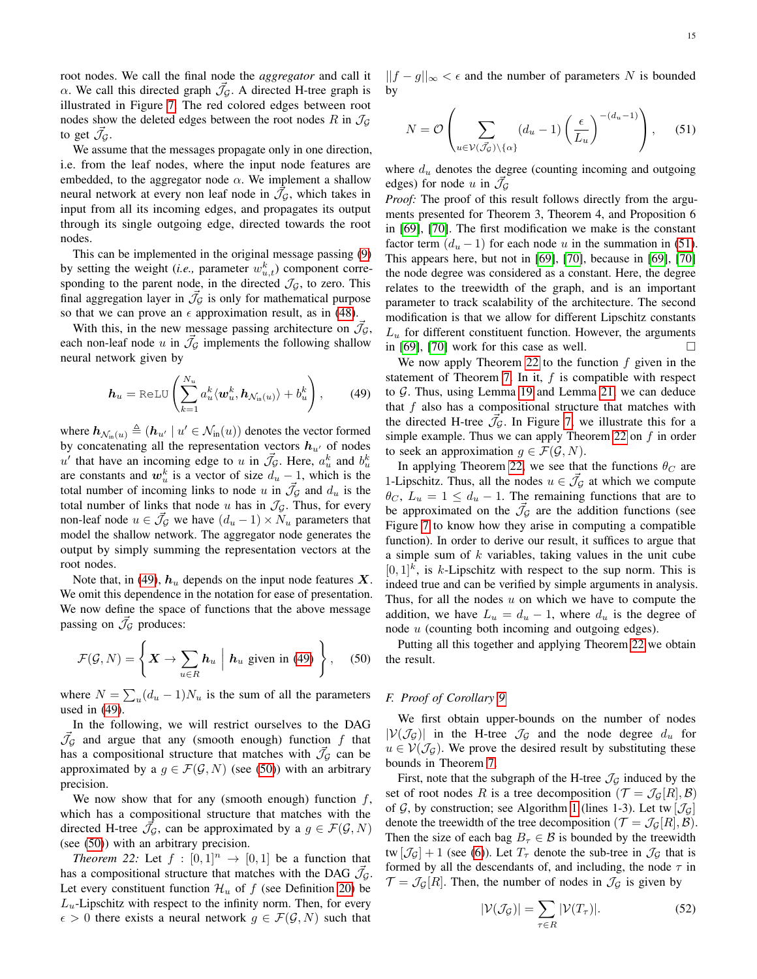root nodes. We call the final node the *aggregator* and call it  $\alpha$ . We call this directed graph  $\vec{J}_\mathcal{G}$ . A directed H-tree graph is illustrated in Figure [7.](#page-13-2) The red colored edges between root nodes show the deleted edges between the root nodes R in  $\mathcal{J}_{\mathcal{G}}$ to get  $\vec{\mathcal{J}}_{\mathcal{G}}$ .

We assume that the messages propagate only in one direction, i.e. from the leaf nodes, where the input node features are embedded, to the aggregator node  $\alpha$ . We implement a shallow neural network at every non leaf node in  $\vec{J}_G$ , which takes in input from all its incoming edges, and propagates its output through its single outgoing edge, directed towards the root nodes.

This can be implemented in the original message passing [\(9\)](#page-4-5) by setting the weight (*i.e.*, parameter  $w_{u,t}^k$ ) component corresponding to the parent node, in the directed  $\mathcal{J}_G$ , to zero. This final aggregation layer in  $\mathcal{J}_G$  is only for mathematical purpose so that we can prove an  $\epsilon$  approximation result, as in [\(48\)](#page-13-4).

With this, in the new message passing architecture on  $\vec{\mathcal{J}}_{\mathcal{G}}$ , each non-leaf node u in  $\mathcal{J}_{\mathcal{G}}$  implements the following shallow neural network given by

<span id="page-14-1"></span>
$$
\boldsymbol{h}_u = \text{ReLU}\left(\sum_{k=1}^{N_u} a_u^k \langle \boldsymbol{w}_u^k, \boldsymbol{h}_{\mathcal{N}_{\text{in}}(u)} \rangle + b_u^k\right), \qquad (49)
$$

where  $\mathbf{h}_{\mathcal{N}_{\text{in}}(u)} \triangleq (\mathbf{h}_{u'} \mid u' \in \mathcal{N}_{\text{in}}(u))$  denotes the vector formed by concatenating all the representation vectors  $h_{u'}$  of nodes u' that have an incoming edge to u in  $\mathcal{J}_\mathcal{G}$ . Here,  $a_u^k$  and  $b_u^k$ are constants and  $w_u^k$  is a vector of size  $d_u - 1$ , which is the total number of incoming links to node u in  $\mathcal{J}_\mathcal{G}$  and  $d_u$  is the total number of links that node u has in  $\mathcal{J}_G$ . Thus, for every non-leaf node  $u \in \vec{\mathcal{J}}_{\mathcal{G}}$  we have  $(d_u - 1) \times \tilde{N}_u$  parameters that model the shallow network. The aggregator node generates the output by simply summing the representation vectors at the root nodes.

Note that, in [\(49\)](#page-14-1),  $h_u$  depends on the input node features X. We omit this dependence in the notation for ease of presentation. We now define the space of functions that the above message passing on  $\vec{\mathcal{J}}_{\mathcal{G}}$  produces:

<span id="page-14-2"></span>
$$
\mathcal{F}(\mathcal{G}, N) = \left\{ \boldsymbol{X} \to \sum_{u \in R} \boldsymbol{h}_u \mid \boldsymbol{h}_u \text{ given in (49)} \right\}, \quad (50)
$$

where  $N = \sum_{u} (d_u - 1) N_u$  is the sum of all the parameters used in [\(49\)](#page-14-1).

In the following, we will restrict ourselves to the DAG  $\vec{J}_{\mathcal{G}}$  and argue that any (smooth enough) function f that has a compositional structure that matches with  $\vec{J}_\mathcal{G}$  can be approximated by a  $g \in \mathcal{F}(\mathcal{G}, N)$  (see [\(50\)](#page-14-2)) with an arbitrary precision.

We now show that for any (smooth enough) function  $f$ , which has a compositional structure that matches with the directed H-tree  $\vec{\mathcal{J}}_{\mathcal{G}}$ , can be approximated by a  $g \in \mathcal{F}(\mathcal{G}, N)$ (see [\(50\)](#page-14-2)) with an arbitrary precision.

*Theorem 22:* Let  $f : [0,1]^n \rightarrow [0,1]$  be a function that has a compositional structure that matches with the DAG  $\vec{\mathcal{J}}_{\mathcal{G}}$ . Let every constituent function  $\mathcal{H}_u$  of f (see Definition [20\)](#page-13-5) be  $L<sub>u</sub>$ -Lipschitz with respect to the infinity norm. Then, for every  $\epsilon > 0$  there exists a neural network  $g \in \mathcal{F}(\mathcal{G}, N)$  such that

 $||f - g||_{\infty} < \epsilon$  and the number of parameters N is bounded by

<span id="page-14-3"></span>
$$
N = \mathcal{O}\left(\sum_{u \in \mathcal{V}(\mathcal{J}_{\mathcal{G}}) \backslash \{\alpha\}} (d_u - 1) \left(\frac{\epsilon}{L_u}\right)^{-(d_u - 1)}\right), \quad (51)
$$

where  $d_u$  denotes the degree (counting incoming and outgoing edges) for node u in  $\vec{J}_{\mathcal{G}}$ 

*Proof:* The proof of this result follows directly from the arguments presented for Theorem 3, Theorem 4, and Proposition 6 in [\[69\]](#page-9-18), [\[70\]](#page-9-19). The first modification we make is the constant factor term  $(d_u - 1)$  for each node u in the summation in [\(51\)](#page-14-3). This appears here, but not in [\[69\]](#page-9-18), [\[70\]](#page-9-19), because in [\[69\]](#page-9-18), [\[70\]](#page-9-19) the node degree was considered as a constant. Here, the degree relates to the treewidth of the graph, and is an important parameter to track scalability of the architecture. The second modification is that we allow for different Lipschitz constants  $L<sub>u</sub>$  for different constituent function. However, the arguments in [\[69\]](#page-9-18), [\[70\]](#page-9-19) work for this case as well.  $\Box$ 

We now apply Theorem [22](#page-14-4) to the function  $f$  given in the statement of Theorem [7.](#page-4-6) In it,  $f$  is compatible with respect to  $G$ . Thus, using Lemma [19](#page-12-5) and Lemma [21,](#page-13-6) we can deduce that  $f$  also has a compositional structure that matches with the directed H-tree  $\vec{\mathcal{J}}_g$ . In Figure [7,](#page-13-2) we illustrate this for a simple example. Thus we can apply Theorem [22](#page-14-4) on  $f$  in order to seek an approximation  $g \in \mathcal{F}(\mathcal{G}, N)$ .

In applying Theorem [22,](#page-14-4) we see that the functions  $\theta_C$  are 1-Lipschitz. Thus, all the nodes  $u \in \mathcal{J}_\mathcal{G}$  at which we compute  $\theta_c$ ,  $L_u = 1 \le d_u - 1$ . The remaining functions that are to be approximated on the  $\vec{J}_\mathcal{G}$  are the addition functions (see Figure [7](#page-13-2) to know how they arise in computing a compatible function). In order to derive our result, it suffices to argue that a simple sum of  $k$  variables, taking values in the unit cube  $[0, 1]^k$ , is k-Lipschitz with respect to the sup norm. This is indeed true and can be verified by simple arguments in analysis. Thus, for all the nodes  $u$  on which we have to compute the addition, we have  $L_u = d_u - 1$ , where  $d_u$  is the degree of node u (counting both incoming and outgoing edges).

Putting all this together and applying Theorem [22](#page-14-4) we obtain the result.

#### <span id="page-14-0"></span>*F. Proof of Corollary [9](#page-5-1)*

We first obtain upper-bounds on the number of nodes  $|V(\mathcal{J}_G)|$  in the H-tree  $\mathcal{J}_G$  and the node degree  $d_u$  for  $u \in V(\mathcal{J}_\mathcal{G})$ . We prove the desired result by substituting these bounds in Theorem [7.](#page-4-6)

<span id="page-14-4"></span>First, note that the subgraph of the H-tree  $\mathcal{J}_G$  induced by the set of root nodes R is a tree decomposition  $(\mathcal{T} = \mathcal{J}_{\mathcal{G}}[R], \mathcal{B})$ of G, by construction; see Algorithm [1](#page-3-2) (lines 1-3). Let tw  $[\mathcal{J}_G]$ denote the treewidth of the tree decomposition ( $\mathcal{T} = \mathcal{J}_G[R], \mathcal{B}$ ). Then the size of each bag  $B<sub>\tau</sub> \in \mathcal{B}$  is bounded by the treewidth tw  $[\mathcal{J}_G] + 1$  (see [\(6\)](#page-2-7)). Let  $T_\tau$  denote the sub-tree in  $\mathcal{J}_G$  that is formed by all the descendants of, and including, the node  $\tau$  in  $\mathcal{T} = \mathcal{J}_{\mathcal{G}}[R]$ . Then, the number of nodes in  $\mathcal{J}_{\mathcal{G}}$  is given by

<span id="page-14-5"></span>
$$
|\mathcal{V}(\mathcal{J}_{\mathcal{G}})| = \sum_{\tau \in R} |\mathcal{V}(T_{\tau})|.
$$
 (52)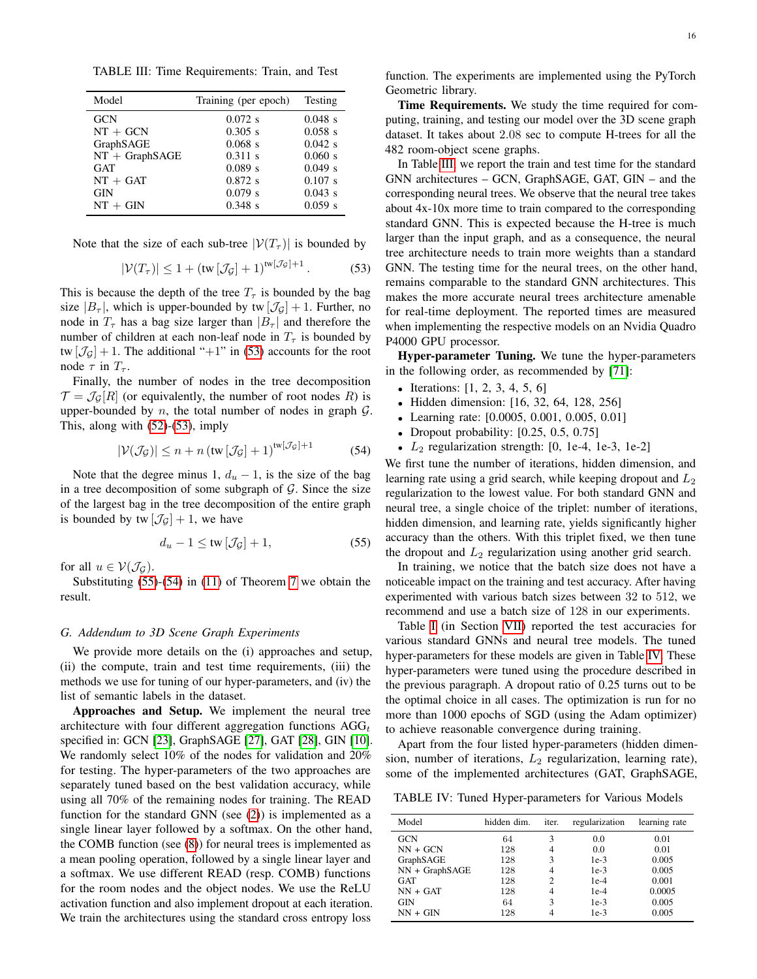<span id="page-15-4"></span>TABLE III: Time Requirements: Train, and Test

| Model            | Training (per epoch) | Testing   |
|------------------|----------------------|-----------|
| <b>GCN</b>       | $0.072$ s            | $0.048$ s |
| $NT + GCN$       | $0.305$ s            | $0.058$ s |
| GraphSAGE        | $0.068$ s            | $0.042$ s |
| $NT + GraphSAGE$ | $0.311$ s            | 0.060 s   |
| GAT              | $0.089$ s            | $0.049$ s |
| $NT + GAT$       | $0.872$ s            | $0.107$ s |
| <b>GIN</b>       | $0.079$ s            | $0.043$ s |
| $NT + GIN$       | $0.348$ s            | 0.059 s   |

Note that the size of each sub-tree  $|\mathcal{V}(T_\tau)|$  is bounded by

<span id="page-15-1"></span>
$$
|\mathcal{V}(T_{\tau})| \le 1 + (\text{tw}\left[\mathcal{J}_{\mathcal{G}}\right] + 1)^{\text{tw}\left[\mathcal{J}_{\mathcal{G}}\right] + 1}.
$$
 (53)

This is because the depth of the tree  $T<sub>\tau</sub>$  is bounded by the bag size  $|B_{\tau}|$ , which is upper-bounded by tw  $|\mathcal{J}_G|+1$ . Further, no node in  $T_{\tau}$  has a bag size larger than  $|B_{\tau}|$  and therefore the number of children at each non-leaf node in  $T_{\tau}$  is bounded by tw  $[\mathcal{J}_G] + 1$ . The additional "+1" in [\(53\)](#page-15-1) accounts for the root node  $\tau$  in  $T_{\tau}$ .

Finally, the number of nodes in the tree decomposition  $\mathcal{T} = \mathcal{J}_{\mathcal{G}}[R]$  (or equivalently, the number of root nodes R) is upper-bounded by n, the total number of nodes in graph  $\mathcal{G}$ . This, along with [\(52\)](#page-14-5)-[\(53\)](#page-15-1), imply

<span id="page-15-3"></span>
$$
|\mathcal{V}(\mathcal{J}_{\mathcal{G}})| \le n + n \left( \text{tw} \left[ \mathcal{J}_{\mathcal{G}} \right] + 1 \right)^{\text{tw} \left[ \mathcal{J}_{\mathcal{G}} \right] + 1} \tag{54}
$$

Note that the degree minus 1,  $d_u - 1$ , is the size of the bag in a tree decomposition of some subgraph of  $G$ . Since the size of the largest bag in the tree decomposition of the entire graph is bounded by tw  $[\mathcal{J}_G] + 1$ , we have

<span id="page-15-2"></span>
$$
d_u - 1 \le \text{tw}\left[\mathcal{J}_{\mathcal{G}}\right] + 1,\tag{55}
$$

for all  $u \in V(\mathcal{J}_G)$ .

Substituting [\(55\)](#page-15-2)-[\(54\)](#page-15-3) in [\(11\)](#page-4-9) of Theorem [7](#page-4-6) we obtain the result.

#### <span id="page-15-0"></span>*G. Addendum to 3D Scene Graph Experiments*

We provide more details on the (i) approaches and setup, (ii) the compute, train and test time requirements, (iii) the methods we use for tuning of our hyper-parameters, and (iv) the list of semantic labels in the dataset.

Approaches and Setup. We implement the neural tree architecture with four different aggregation functions  $AGG_t$ specified in: GCN [\[23\]](#page-8-20), GraphSAGE [\[27\]](#page-8-23), GAT [\[28\]](#page-8-24), GIN [\[10\]](#page-8-8). We randomly select 10% of the nodes for validation and 20% for testing. The hyper-parameters of the two approaches are separately tuned based on the best validation accuracy, while using all 70% of the remaining nodes for training. The READ function for the standard GNN (see [\(2\)](#page-2-4)) is implemented as a single linear layer followed by a softmax. On the other hand, the COMB function (see [\(8\)](#page-4-8)) for neural trees is implemented as a mean pooling operation, followed by a single linear layer and a softmax. We use different READ (resp. COMB) functions for the room nodes and the object nodes. We use the ReLU activation function and also implement dropout at each iteration. We train the architectures using the standard cross entropy loss

function. The experiments are implemented using the PyTorch Geometric library.

Time Requirements. We study the time required for computing, training, and testing our model over the 3D scene graph dataset. It takes about 2.08 sec to compute H-trees for all the 482 room-object scene graphs.

In Table [III,](#page-15-4) we report the train and test time for the standard GNN architectures – GCN, GraphSAGE, GAT, GIN – and the corresponding neural trees. We observe that the neural tree takes about 4x-10x more time to train compared to the corresponding standard GNN. This is expected because the H-tree is much larger than the input graph, and as a consequence, the neural tree architecture needs to train more weights than a standard GNN. The testing time for the neural trees, on the other hand, remains comparable to the standard GNN architectures. This makes the more accurate neural trees architecture amenable for real-time deployment. The reported times are measured when implementing the respective models on an Nvidia Quadro P4000 GPU processor.

Hyper-parameter Tuning. We tune the hyper-parameters in the following order, as recommended by [\[71\]](#page-9-20):

- Iterations:  $[1, 2, 3, 4, 5, 6]$
- Hidden dimension: [16, 32, 64, 128, 256]
- Learning rate: [0.0005, 0.001, 0.005, 0.01]
- Dropout probability:  $[0.25, 0.5, 0.75]$
- $L_2$  regularization strength: [0, 1e-4, 1e-3, 1e-2]

We first tune the number of iterations, hidden dimension, and learning rate using a grid search, while keeping dropout and  $L_2$ regularization to the lowest value. For both standard GNN and neural tree, a single choice of the triplet: number of iterations, hidden dimension, and learning rate, yields significantly higher accuracy than the others. With this triplet fixed, we then tune the dropout and  $L_2$  regularization using another grid search.

In training, we notice that the batch size does not have a noticeable impact on the training and test accuracy. After having experimented with various batch sizes between 32 to 512, we recommend and use a batch size of 128 in our experiments.

Table [I](#page-5-4) (in Section [VII\)](#page-5-0) reported the test accuracies for various standard GNNs and neural tree models. The tuned hyper-parameters for these models are given in Table [IV.](#page-15-5) These hyper-parameters were tuned using the procedure described in the previous paragraph. A dropout ratio of 0.25 turns out to be the optimal choice in all cases. The optimization is run for no more than 1000 epochs of SGD (using the Adam optimizer) to achieve reasonable convergence during training.

Apart from the four listed hyper-parameters (hidden dimension, number of iterations,  $L_2$  regularization, learning rate), some of the implemented architectures (GAT, GraphSAGE,

<span id="page-15-5"></span>TABLE IV: Tuned Hyper-parameters for Various Models

| Model            | hidden dim. | iter.          | regularization | learning rate |
|------------------|-------------|----------------|----------------|---------------|
| <b>GCN</b>       | 64          | 3              | 0.0            | 0.01          |
| $NN + GCN$       | 128         | $\overline{4}$ | 0.0            | 0.01          |
| GraphSAGE        | 128         | 3              | $1e-3$         | 0.005         |
| $NN + GraphSAGE$ | 128         |                | $1e-3$         | 0.005         |
| <b>GAT</b>       | 128         | 2              | $1e-4$         | 0.001         |
| $NN + GAT$       | 128         | 4              | $1e-4$         | 0.0005        |
| <b>GIN</b>       | 64          | 3              | $1e-3$         | 0.005         |
| $NN + GIN$       | 128         |                | $1e-3$         | 0.005         |